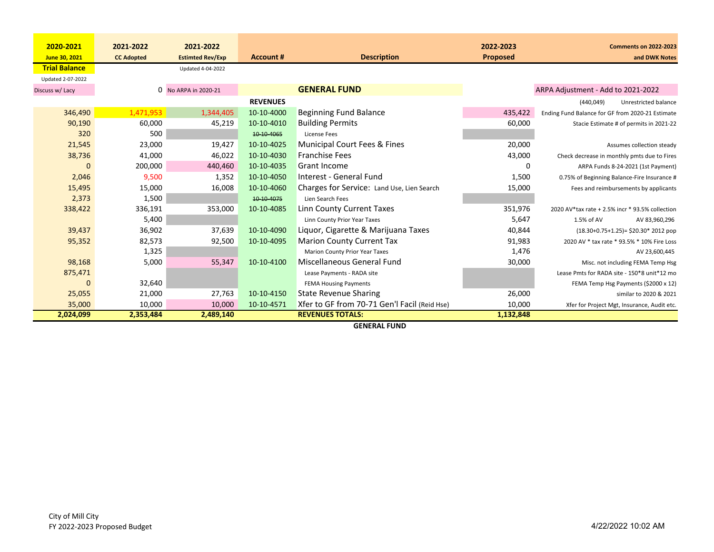| 2020-2021            | 2021-2022         | 2021-2022               |                  |                                              | 2022-2023       | <b>Comments on 2022-2023</b>                     |
|----------------------|-------------------|-------------------------|------------------|----------------------------------------------|-----------------|--------------------------------------------------|
| June 30, 2021        | <b>CC Adopted</b> | <b>Estimted Rev/Exp</b> | <b>Account #</b> | <b>Description</b>                           | <b>Proposed</b> | and DWK Notes                                    |
| <b>Trial Balance</b> |                   | Updated 4-04-2022       |                  |                                              |                 |                                                  |
| Updated 2-07-2022    |                   |                         |                  |                                              |                 |                                                  |
| Discuss w/ Lacy      |                   | 0 No ARPA in 2020-21    |                  | <b>GENERAL FUND</b>                          |                 | ARPA Adjustment - Add to 2021-2022               |
|                      |                   |                         | <b>REVENUES</b>  |                                              |                 | (440, 049)<br>Unrestricted balance               |
| 346,490              | 1,471,953         | 1,344,405               | 10-10-4000       | Beginning Fund Balance                       | 435,422         | Ending Fund Balance for GF from 2020-21 Estimate |
| 90,190               | 60,000            | 45,219                  | 10-10-4010       | <b>Building Permits</b>                      | 60,000          | Stacie Estimate # of permits in 2021-22          |
| 320                  | 500               |                         | 10 10 40 65      | License Fees                                 |                 |                                                  |
| 21,545               | 23,000            | 19,427                  | 10-10-4025       | Municipal Court Fees & Fines                 | 20,000          | Assumes collection steady                        |
| 38,736               | 41,000            | 46,022                  | 10-10-4030       | <b>Franchise Fees</b>                        | 43,000          | Check decrease in monthly pmts due to Fires      |
|                      | 200,000           | 440,460                 | 10-10-4035       | Grant Income                                 | 0               | ARPA Funds 8-24-2021 (1st Payment)               |
| 2,046                | 9,500             | 1,352                   | 10-10-4050       | Interest - General Fund                      | 1,500           | 0.75% of Beginning Balance-Fire Insurance #      |
| 15,495               | 15,000            | 16,008                  | 10-10-4060       | Charges for Service: Land Use, Lien Search   | 15,000          | Fees and reimbursements by applicants            |
| 2,373                | 1,500             |                         | 10-10-4075       | Lien Search Fees                             |                 |                                                  |
| 338,422              | 336,191           | 353,000                 | 10-10-4085       | Linn County Current Taxes                    | 351,976         | 2020 AV*tax rate + 2.5% incr * 93.5% collection  |
|                      | 5,400             |                         |                  | Linn County Prior Year Taxes                 | 5,647           | 1.5% of AV<br>AV 83,960,296                      |
| 39,437               | 36,902            | 37,639                  | 10-10-4090       | Liquor, Cigarette & Marijuana Taxes          | 40,844          | $(18.30+0.75+1.25)$ = \$20.30* 2012 pop          |
| 95,352               | 82,573            | 92,500                  | 10-10-4095       | <b>Marion County Current Tax</b>             | 91,983          | 2020 AV * tax rate * 93.5% * 10% Fire Loss       |
|                      | 1,325             |                         |                  | Marion County Prior Year Taxes               | 1,476           | AV 23,600,445                                    |
| 98,168               | 5,000             | 55,347                  | 10-10-4100       | Miscellaneous General Fund                   | 30,000          | Misc. not including FEMA Temp Hsg                |
| 875,471              |                   |                         |                  | Lease Payments - RADA site                   |                 | Lease Pmts for RADA site - 150*8 unit*12 mo      |
|                      | 32,640            |                         |                  | <b>FEMA Housing Payments</b>                 |                 | FEMA Temp Hsg Payments (\$2000 x 12)             |
| 25,055               | 21,000            | 27,763                  | 10-10-4150       | <b>State Revenue Sharing</b>                 | 26,000          | similar to 2020 & 2021                           |
| 35,000               | 10,000            | 10,000                  | 10-10-4571       | Xfer to GF from 70-71 Gen'l Facil (Reid Hse) | 10,000          | Xfer for Project Mgt, Insurance, Audit etc.      |
| 2,024,099            | 2,353,484         | 2,489,140               |                  | <b>REVENUES TOTALS:</b>                      | 1,132,848       |                                                  |

**GENERAL FUND**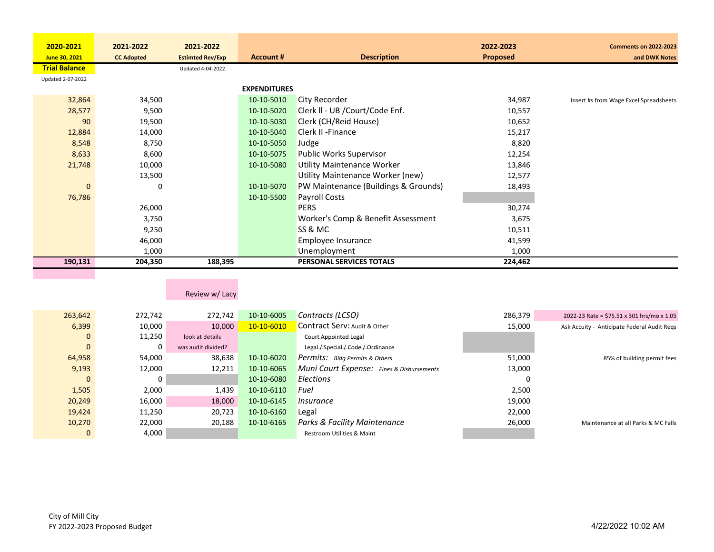| 2020-2021            | 2021-2022         | 2021-2022               |                     |                                      | 2022-2023       | <b>Comments on 2022-2023</b>           |
|----------------------|-------------------|-------------------------|---------------------|--------------------------------------|-----------------|----------------------------------------|
| June 30, 2021        | <b>CC Adopted</b> | <b>Estimted Rev/Exp</b> | <b>Account #</b>    | <b>Description</b>                   | <b>Proposed</b> | and DWK Notes                          |
| <b>Trial Balance</b> |                   | Updated 4-04-2022       |                     |                                      |                 |                                        |
| Updated 2-07-2022    |                   |                         |                     |                                      |                 |                                        |
|                      |                   |                         | <b>EXPENDITURES</b> |                                      |                 |                                        |
| 32,864               | 34,500            |                         | 10-10-5010          | <b>City Recorder</b>                 | 34,987          | Insert #s from Wage Excel Spreadsheets |
| 28,577               | 9,500             |                         | 10-10-5020          | Clerk II - UB /Court/Code Enf.       | 10,557          |                                        |
| 90                   | 19,500            |                         | 10-10-5030          | Clerk (CH/Reid House)                | 10,652          |                                        |
| 12,884               | 14,000            |                         | 10-10-5040          | Clerk II - Finance                   | 15,217          |                                        |
| 8,548                | 8,750             |                         | 10-10-5050          | Judge                                | 8,820           |                                        |
| 8,633                | 8,600             |                         | 10-10-5075          | <b>Public Works Supervisor</b>       | 12,254          |                                        |
| 21,748               | 10,000            |                         | 10-10-5080          | <b>Utility Maintenance Worker</b>    | 13,846          |                                        |
|                      | 13,500            |                         |                     | Utility Maintenance Worker (new)     | 12,577          |                                        |
| $\mathbf 0$          | 0                 |                         | 10-10-5070          | PW Maintenance (Buildings & Grounds) | 18,493          |                                        |
| 76,786               |                   |                         | 10-10-5500          | Payroll Costs                        |                 |                                        |
|                      | 26,000            |                         |                     | <b>PERS</b>                          | 30,274          |                                        |
|                      | 3,750             |                         |                     | Worker's Comp & Benefit Assessment   | 3,675           |                                        |
|                      | 9,250             |                         |                     | SS & MC                              | 10,511          |                                        |
|                      | 46,000            |                         |                     | Employee Insurance                   | 41,599          |                                        |
|                      | 1,000             |                         |                     | Unemployment                         | 1,000           |                                        |
| 190,131              | 204,350           | 188,395                 |                     | PERSONAL SERVICES TOTALS             | 224,462         |                                        |
|                      |                   |                         |                     |                                      |                 |                                        |

## Review w/ Lacy

| 263,642 | 272.742 | 272.742            | 10-10-6005 | Contracts (LCSO)                                 | 286,379 | 2022-23 Rate = \$75.51 x 301 hrs/mo x 1.05  |
|---------|---------|--------------------|------------|--------------------------------------------------|---------|---------------------------------------------|
| 6,399   | 10,000  | 10,000             | 10-10-6010 | Contract Serv: Audit & Other                     | 15,000  | Ask Accuity - Anticipate Federal Audit Regs |
| 0       | 11,250  | look at details    |            | <b>Court Appointed Legal</b>                     |         |                                             |
| 0       | 0       | was audit divided? |            | Legal / Special / Code / Ordinance               |         |                                             |
| 64,958  | 54,000  | 38,638             | 10-10-6020 | <b>Permits:</b> Bldg Permits & Others            | 51,000  | 85% of building permit fees                 |
| 9,193   | 12,000  | 12,211             | 10-10-6065 | <b>Muni Court Expense:</b> Fines & Disbursements | 13,000  |                                             |
| 0       |         |                    | 10-10-6080 | Elections                                        | 0       |                                             |
| 1,505   | 2,000   | 1,439              | 10-10-6110 | Fuel                                             | 2,500   |                                             |
| 20,249  | 16,000  | 18,000             | 10-10-6145 | Insurance                                        | 19.000  |                                             |
| 19,424  | 11,250  | 20,723             | 10-10-6160 | Legal                                            | 22,000  |                                             |
| 10,270  | 22,000  | 20,188             | 10-10-6165 | <b>Parks &amp; Facility Maintenance</b>          | 26,000  | Maintenance at all Parks & MC Falls         |
| 0       | 4,000   |                    |            | Restroom Utilities & Maint                       |         |                                             |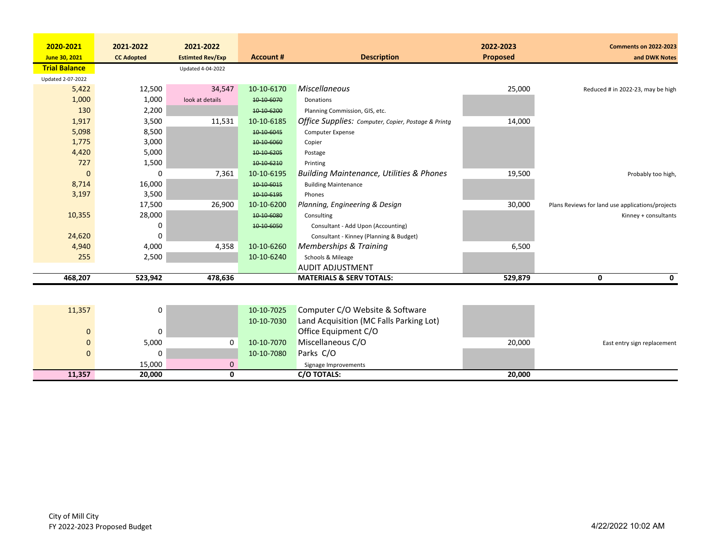| 2020-2021            | 2021-2022         | 2021-2022               |                  |                                                     | 2022-2023 | <b>Comments on 2022-2023</b>                     |
|----------------------|-------------------|-------------------------|------------------|-----------------------------------------------------|-----------|--------------------------------------------------|
| June 30, 2021        | <b>CC Adopted</b> | <b>Estimted Rev/Exp</b> | <b>Account #</b> | <b>Description</b>                                  | Proposed  | and DWK Notes                                    |
| <b>Trial Balance</b> |                   | Updated 4-04-2022       |                  |                                                     |           |                                                  |
| Updated 2-07-2022    |                   |                         |                  |                                                     |           |                                                  |
| 5,422                | 12,500            | 34,547                  | 10-10-6170       | <b>Miscellaneous</b>                                | 25,000    | Reduced # in 2022-23, may be high                |
| 1,000                | 1,000             | look at details         | 10-10-6070       | Donations                                           |           |                                                  |
| 130                  | 2,200             |                         | 10-10-6200       | Planning Commission, GIS, etc.                      |           |                                                  |
| 1,917                | 3,500             | 11,531                  | 10-10-6185       | Office Supplies: Computer, Copier, Postage & Printg | 14,000    |                                                  |
| 5,098                | 8,500             |                         | 10-10-6045       | Computer Expense                                    |           |                                                  |
| 1,775                | 3,000             |                         | 10-10-6060       | Copier                                              |           |                                                  |
| 4,420                | 5,000             |                         | 10 10 6 205      | Postage                                             |           |                                                  |
| 727                  | 1,500             |                         | 10-10-6210       | Printing                                            |           |                                                  |
| $\mathbf 0$          | 0                 | 7,361                   | 10-10-6195       | <b>Building Maintenance, Utilities &amp; Phones</b> | 19,500    | Probably too high,                               |
| 8,714                | 16,000            |                         | 10-10-6015       | <b>Building Maintenance</b>                         |           |                                                  |
| 3,197                | 3,500             |                         | 10-10-6195       | Phones                                              |           |                                                  |
|                      | 17,500            | 26,900                  | 10-10-6200       | Planning, Engineering & Design                      | 30,000    | Plans Reviews for land use applications/projects |
| 10,355               | 28,000            |                         | 10-10-6080       | Consulting                                          |           | Kinney + consultants                             |
|                      | 0                 |                         | 10-10-6050       | Consultant - Add Upon (Accounting)                  |           |                                                  |
| 24,620               | $\Omega$          |                         |                  | Consultant - Kinney (Planning & Budget)             |           |                                                  |
| 4,940                | 4,000             | 4,358                   | 10-10-6260       | <b>Memberships &amp; Training</b>                   | 6,500     |                                                  |
| 255                  | 2,500             |                         | 10-10-6240       | Schools & Mileage                                   |           |                                                  |
|                      |                   |                         |                  | <b>AUDIT ADJUSTMENT</b>                             |           |                                                  |
| 468,207              | 523,942           | 478,636                 |                  | <b>MATERIALS &amp; SERV TOTALS:</b>                 | 529,879   | $\mathbf 0$<br>$\Omega$                          |
|                      |                   |                         |                  |                                                     |           |                                                  |
| 11,357               | 0                 |                         | 10-10-7025       | Computer C/O Website & Software                     |           |                                                  |
|                      |                   |                         | 10-10-7030       | Land Acquisition (MC Falls Parking Lot)             |           |                                                  |
| $\mathbf 0$          | 0                 |                         |                  | Office Equipment C/O                                |           |                                                  |
| $\mathbf 0$          | 5,000             | 0                       | 10-10-7070       | Miscellaneous C/O                                   | 20,000    | East entry sign replacement                      |
| $\mathbf 0$          | 0                 |                         | 10-10-7080       | Parks C/O                                           |           |                                                  |
|                      | 15,000            | $\mathbf 0$             |                  | Signage Improvements                                |           |                                                  |
| 11,357               | 20,000            | $\mathbf 0$             |                  | C/O TOTALS:                                         | 20,000    |                                                  |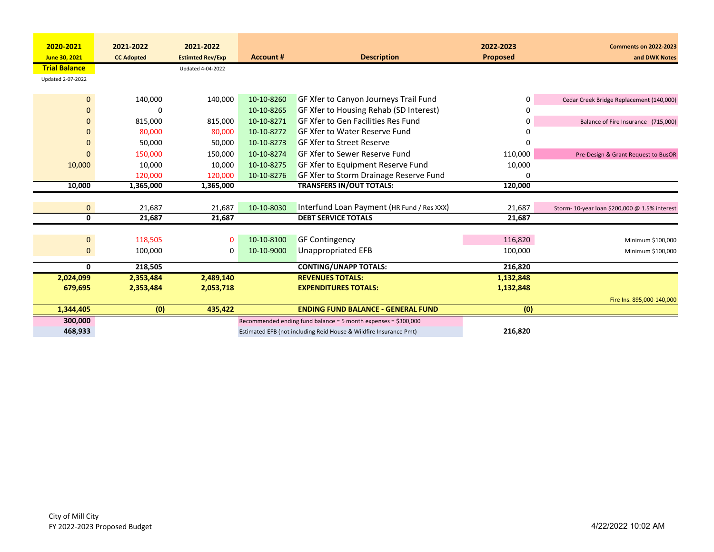| 2020-2021            | 2021-2022         | 2021-2022               |                  |                                                                   | 2022-2023 | <b>Comments on 2022-2023</b>                  |
|----------------------|-------------------|-------------------------|------------------|-------------------------------------------------------------------|-----------|-----------------------------------------------|
| June 30, 2021        | <b>CC Adopted</b> | <b>Estimted Rev/Exp</b> | <b>Account #</b> | <b>Description</b>                                                | Proposed  | and DWK Notes                                 |
| <b>Trial Balance</b> |                   | Updated 4-04-2022       |                  |                                                                   |           |                                               |
| Updated 2-07-2022    |                   |                         |                  |                                                                   |           |                                               |
|                      |                   |                         |                  |                                                                   |           |                                               |
| $\mathbf{0}$         | 140,000           | 140,000                 | 10-10-8260       | GF Xfer to Canyon Journeys Trail Fund                             | 0         | Cedar Creek Bridge Replacement (140,000)      |
| 0                    | U                 |                         | 10-10-8265       | GF Xfer to Housing Rehab (SD Interest)                            | $\Omega$  |                                               |
| $\mathbf{0}$         | 815,000           | 815,000                 | 10-10-8271       | GF Xfer to Gen Facilities Res Fund                                | 0         | Balance of Fire Insurance (715,000)           |
| $\mathbf{0}$         | 80,000            | 80,000                  | 10-10-8272       | GF Xfer to Water Reserve Fund                                     | O         |                                               |
| $\mathbf 0$          | 50,000            | 50,000                  | 10-10-8273       | <b>GF Xfer to Street Reserve</b>                                  | n         |                                               |
| $\mathbf{0}$         | 150,000           | 150,000                 | 10-10-8274       | GF Xfer to Sewer Reserve Fund                                     | 110,000   | Pre-Design & Grant Request to BusOR           |
| 10,000               | 10,000            | 10,000                  | 10-10-8275       | GF Xfer to Equipment Reserve Fund                                 | 10,000    |                                               |
|                      | 120,000           | 120,000                 | 10-10-8276       | GF Xfer to Storm Drainage Reserve Fund                            | 0         |                                               |
| 10,000               | 1,365,000         | 1,365,000               |                  | <b>TRANSFERS IN/OUT TOTALS:</b>                                   | 120,000   |                                               |
|                      |                   |                         |                  |                                                                   |           |                                               |
| $\mathbf{0}$         | 21,687            | 21,687                  | 10-10-8030       | Interfund Loan Payment (HR Fund / Res XXX)                        | 21,687    | Storm- 10-year loan \$200,000 @ 1.5% interest |
| $\mathbf 0$          | 21,687            | 21,687                  |                  | <b>DEBT SERVICE TOTALS</b>                                        | 21,687    |                                               |
|                      |                   |                         |                  |                                                                   |           |                                               |
| $\mathbf{0}$         | 118,505           | $\mathbf 0$             | 10-10-8100       | <b>GF Contingency</b>                                             | 116,820   | Minimum \$100,000                             |
| $\mathbf 0$          | 100,000           | 0                       | 10-10-9000       | Unappropriated EFB                                                | 100,000   | Minimum \$100,000                             |
|                      |                   |                         |                  |                                                                   |           |                                               |
| $\mathbf{0}$         | 218,505           |                         |                  | <b>CONTING/UNAPP TOTALS:</b>                                      | 216,820   |                                               |
| 2,024,099            | 2,353,484         | 2,489,140               |                  | <b>REVENUES TOTALS:</b>                                           | 1,132,848 |                                               |
| 679,695              | 2,353,484         | 2,053,718               |                  | <b>EXPENDITURES TOTALS:</b>                                       | 1,132,848 |                                               |
|                      |                   |                         |                  |                                                                   |           | Fire Ins. 895,000-140,000                     |
| 1,344,405            | (0)               | 435,422                 |                  | <b>ENDING FUND BALANCE - GENERAL FUND</b>                         | (0)       |                                               |
| 300,000              |                   |                         |                  | Recommended ending fund balance = 5 month expenses = \$300,000    |           |                                               |
| 468,933              |                   |                         |                  | Estimated EFB (not including Reid House & Wildfire Insurance Pmt) | 216,820   |                                               |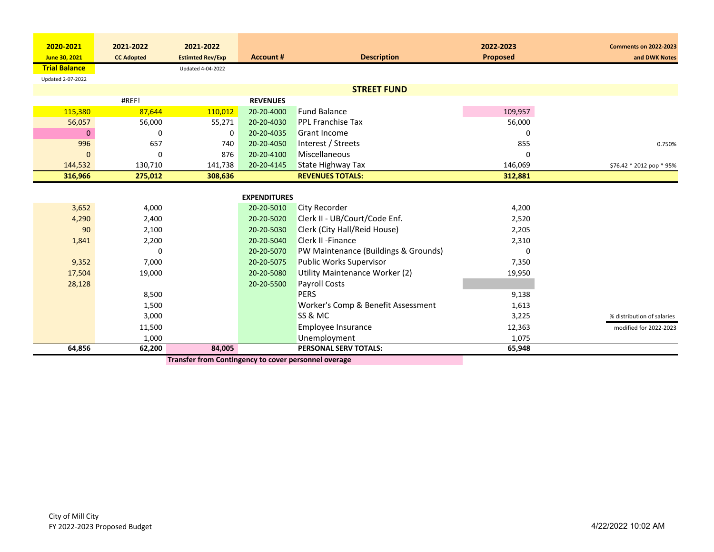| 2020-2021            | 2021-2022         | 2021-2022               |                     |                                      | 2022-2023       | <b>Comments on 2022-2023</b> |
|----------------------|-------------------|-------------------------|---------------------|--------------------------------------|-----------------|------------------------------|
| June 30, 2021        | <b>CC Adopted</b> | <b>Estimted Rev/Exp</b> | <b>Account #</b>    | <b>Description</b>                   | <b>Proposed</b> | and DWK Notes                |
| <b>Trial Balance</b> |                   | Updated 4-04-2022       |                     |                                      |                 |                              |
| Updated 2-07-2022    |                   |                         |                     |                                      |                 |                              |
|                      |                   |                         |                     | <b>STREET FUND</b>                   |                 |                              |
|                      | #REF!             |                         | <b>REVENUES</b>     |                                      |                 |                              |
| 115,380              | 87,644            | 110,012                 | 20-20-4000          | <b>Fund Balance</b>                  | 109,957         |                              |
| 56,057               | 56,000            | 55,271                  | 20-20-4030          | <b>PPL Franchise Tax</b>             | 56,000          |                              |
| $\Omega$             | 0                 | $\Omega$                | 20-20-4035          | <b>Grant Income</b>                  | 0               |                              |
| 996                  | 657               | 740                     | 20-20-4050          | Interest / Streets                   | 855             | 0.750%                       |
| $\Omega$             | $\mathbf 0$       | 876                     | 20-20-4100          | Miscellaneous                        | 0               |                              |
| 144,532              | 130,710           | 141,738                 | 20-20-4145          | <b>State Highway Tax</b>             | 146,069         | \$76.42 * 2012 pop * 95%     |
| 316,966              | 275,012           | 308,636                 |                     | <b>REVENUES TOTALS:</b>              | 312,881         |                              |
|                      |                   |                         |                     |                                      |                 |                              |
|                      |                   |                         | <b>EXPENDITURES</b> |                                      |                 |                              |
| 3,652                | 4,000             |                         | 20-20-5010          | <b>City Recorder</b>                 | 4,200           |                              |
| 4,290                | 2,400             |                         | 20-20-5020          | Clerk II - UB/Court/Code Enf.        | 2,520           |                              |
| 90                   | 2,100             |                         | 20-20-5030          | Clerk (City Hall/Reid House)         | 2,205           |                              |
| 1,841                | 2,200             |                         | 20-20-5040          | <b>Clerk II - Finance</b>            | 2,310           |                              |
|                      | 0                 |                         | 20-20-5070          | PW Maintenance (Buildings & Grounds) | 0               |                              |
| 9,352                | 7,000             |                         | 20-20-5075          | <b>Public Works Supervisor</b>       | 7,350           |                              |
| 17,504               | 19,000            |                         | 20-20-5080          | Utility Maintenance Worker (2)       | 19,950          |                              |
| 28,128               |                   |                         | 20-20-5500          | <b>Payroll Costs</b>                 |                 |                              |
|                      | 8,500             |                         |                     | <b>PERS</b>                          | 9,138           |                              |
|                      | 1,500             |                         |                     | Worker's Comp & Benefit Assessment   | 1,613           |                              |
|                      | 3,000             |                         |                     | SS & MC                              | 3,225           | % distribution of salaries   |
|                      | 11,500            |                         |                     | Employee Insurance                   | 12,363          | modified for 2022-2023       |
|                      | 1,000             |                         |                     | Unemployment                         | 1,075           |                              |
| 64,856               | 62,200            | 84,005                  |                     | PERSONAL SERV TOTALS:                | 65,948          |                              |

**Transfer from Contingency to cover personnel overage**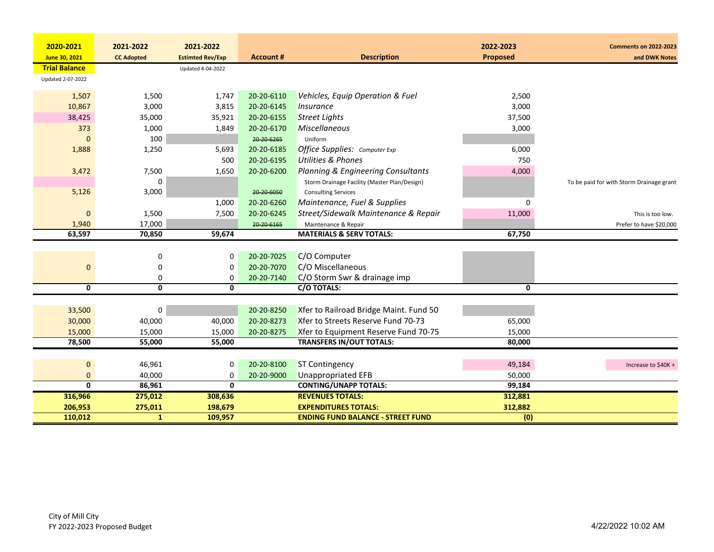| 2020-2021            | 2021-2022               | 2021-2022                |                  |                                              | 2022-2023       | <b>Comments on 2022-2023</b>             |
|----------------------|-------------------------|--------------------------|------------------|----------------------------------------------|-----------------|------------------------------------------|
| June 30, 2021        | <b>CC Adopted</b>       | <b>Estimted Rev/Exp</b>  | <b>Account #</b> | <b>Description</b>                           | <b>Proposed</b> | and DWK Notes                            |
| <b>Trial Balance</b> |                         | <b>Updated 4-04-2022</b> |                  |                                              |                 |                                          |
| Updated 2-07-2022    |                         |                          |                  |                                              |                 |                                          |
|                      |                         |                          |                  |                                              |                 |                                          |
| 1,507                | 1,500                   | 1,747                    | 20-20-6110       | Vehicles, Equip Operation & Fuel             | 2,500           |                                          |
| 10,867               | 3,000                   | 3,815                    | 20-20-6145       | Insurance                                    | 3,000           |                                          |
| 38,425               | 35,000                  | 35,921                   | 20-20-6155       | <b>Street Lights</b>                         | 37,500          |                                          |
| 373                  | 1,000                   | 1,849                    | 20-20-6170       | Miscellaneous                                | 3,000           |                                          |
| $\Omega$             | 100                     |                          | 20-20-6265       | Uniform                                      |                 |                                          |
| 1,888                | 1,250                   | 5,693                    | 20-20-6185       | Office Supplies: Computer Exp                | 6,000           |                                          |
|                      |                         | 500                      | 20-20-6195       | <b>Utilities &amp; Phones</b>                | 750             |                                          |
| 3,472                | 7,500                   | 1,650                    | 20-20-6200       | Planning & Engineering Consultants           | 4,000           |                                          |
|                      | 0                       |                          |                  | Storm Drainage Facility (Master Plan/Design) |                 | To be paid for with Storm Drainage grant |
| 5,126                | 3,000                   |                          | 20-20-6050       | <b>Consulting Services</b>                   |                 |                                          |
|                      |                         | 1,000                    | 20-20-6260       | Maintenance, Fuel & Supplies                 | $\mathbf{0}$    |                                          |
| $\mathbf{0}$         | 1,500                   | 7,500                    | 20-20-6245       | Street/Sidewalk Maintenance & Repair         | 11,000          | This is too low.                         |
| 1,940                | 17,000                  |                          | 20-20-6165       | Maintenance & Repair                         |                 | Prefer to have \$20,000                  |
| 63,597               | 70,850                  | 59,674                   |                  | <b>MATERIALS &amp; SERV TOTALS:</b>          | 67,750          |                                          |
|                      |                         |                          |                  |                                              |                 |                                          |
|                      | 0                       | 0                        | 20-20-7025       | C/O Computer                                 |                 |                                          |
| 0                    | 0                       | 0                        | 20-20-7070       | C/O Miscellaneous                            |                 |                                          |
|                      | 0                       | 0                        | 20-20-7140       | C/O Storm Swr & drainage imp                 |                 |                                          |
| 0                    | 0                       | 0                        |                  | C/O TOTALS:                                  | $\mathbf{0}$    |                                          |
|                      |                         |                          |                  |                                              |                 |                                          |
| 33,500               | 0                       |                          | 20-20-8250       | Xfer to Railroad Bridge Maint. Fund 50       |                 |                                          |
| 30,000               | 40,000                  | 40,000                   | 20-20-8273       | Xfer to Streets Reserve Fund 70-73           | 65,000          |                                          |
| 15,000               | 15,000                  | 15,000                   | 20-20-8275       | Xfer to Equipment Reserve Fund 70-75         | 15,000          |                                          |
| 78,500               | 55,000                  | 55,000                   |                  | <b>TRANSFERS IN/OUT TOTALS:</b>              | 80,000          |                                          |
|                      |                         |                          |                  |                                              |                 |                                          |
| 0                    | 46,961                  | 0                        | 20-20-8100       | <b>ST Contingency</b>                        | 49,184          | Increase to \$40K +                      |
| 0                    | 40,000                  | 0                        | 20-20-9000       | <b>Unappropriated EFB</b>                    | 50,000          |                                          |
| 0                    | 86,961                  | $\mathbf{0}$             |                  | <b>CONTING/UNAPP TOTALS:</b>                 | 99,184          |                                          |
| 316,966              | 275,012                 | 308,636                  |                  | <b>REVENUES TOTALS:</b>                      | 312,881         |                                          |
|                      |                         | 198,679                  |                  | <b>EXPENDITURES TOTALS:</b>                  |                 |                                          |
| 206,953              | 275,011<br>$\mathbf{1}$ |                          |                  | <b>ENDING FUND BALANCE - STREET FUND</b>     | 312,882<br>(0)  |                                          |
| 110,012              |                         | 109,957                  |                  |                                              |                 |                                          |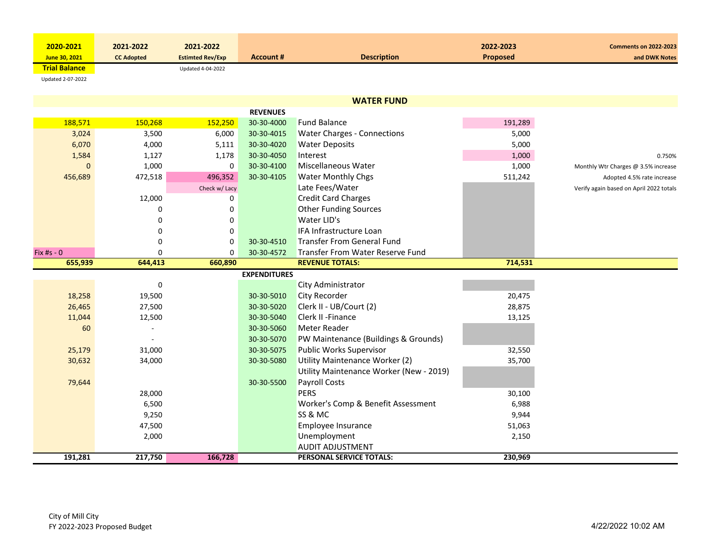| 2020-2021            | 2021-2022         | 2021-2022               |           |                    | 2022-2023       | <b>Comments on 2022-2023</b> |
|----------------------|-------------------|-------------------------|-----------|--------------------|-----------------|------------------------------|
| June 30, 2021        | <b>CC Adopted</b> | <b>Estimted Rev/Exp</b> | Account # | <b>Description</b> | <b>Proposed</b> | and DWK Notes                |
| <b>Trial Balance</b> |                   | Updated 4-04-2022       |           |                    |                 |                              |

Updated 2‐07‐2022

|              |          |               | <b>REVENUES</b>     |                                         |         |                                         |
|--------------|----------|---------------|---------------------|-----------------------------------------|---------|-----------------------------------------|
| 188,571      | 150,268  | 152,250       | 30-30-4000          | <b>Fund Balance</b>                     | 191,289 |                                         |
| 3,024        | 3,500    | 6,000         | 30-30-4015          | <b>Water Charges - Connections</b>      | 5,000   |                                         |
| 6,070        | 4,000    | 5,111         | 30-30-4020          | <b>Water Deposits</b>                   | 5,000   |                                         |
| 1,584        | 1,127    | 1,178         | 30-30-4050          | Interest                                | 1,000   | 0.750%                                  |
| $\Omega$     | 1,000    | 0             | 30-30-4100          | Miscellaneous Water                     | 1,000   | Monthly Wtr Charges @ 3.5% increase     |
| 456,689      | 472,518  | 496,352       | 30-30-4105          | Water Monthly Chgs                      | 511,242 | Adopted 4.5% rate increase              |
|              |          | Check w/ Lacy |                     | Late Fees/Water                         |         | Verify again based on April 2022 totals |
|              | 12,000   | 0             |                     | <b>Credit Card Charges</b>              |         |                                         |
|              | 0        | 0             |                     | <b>Other Funding Sources</b>            |         |                                         |
|              | 0        | 0             |                     | Water LID's                             |         |                                         |
|              | 0        | 0             |                     | IFA Infrastructure Loan                 |         |                                         |
|              | 0        | 0             | 30-30-4510          | <b>Transfer From General Fund</b>       |         |                                         |
| Fix #s - $0$ | $\Omega$ | $\Omega$      | 30-30-4572          | Transfer From Water Reserve Fund        |         |                                         |
| 655,939      | 644,413  | 660,890       |                     | <b>REVENUE TOTALS:</b>                  | 714,531 |                                         |
|              |          |               | <b>EXPENDITURES</b> |                                         |         |                                         |
|              | 0        |               |                     | City Administrator                      |         |                                         |
| 18,258       | 19,500   |               | 30-30-5010          | <b>City Recorder</b>                    | 20,475  |                                         |
| 26,465       | 27,500   |               | 30-30-5020          | Clerk II - UB/Court (2)                 | 28,875  |                                         |
| 11,044       | 12,500   |               | 30-30-5040          | Clerk II - Finance                      | 13,125  |                                         |
| 60           |          |               | 30-30-5060          | <b>Meter Reader</b>                     |         |                                         |
|              |          |               | 30-30-5070          | PW Maintenance (Buildings & Grounds)    |         |                                         |
| 25,179       | 31,000   |               | 30-30-5075          | <b>Public Works Supervisor</b>          | 32,550  |                                         |
| 30,632       | 34,000   |               | 30-30-5080          | Utility Maintenance Worker (2)          | 35,700  |                                         |
|              |          |               |                     | Utility Maintenance Worker (New - 2019) |         |                                         |
| 79,644       |          |               | 30-30-5500          | <b>Payroll Costs</b>                    |         |                                         |
|              | 28,000   |               |                     | <b>PERS</b>                             | 30,100  |                                         |
|              | 6,500    |               |                     | Worker's Comp & Benefit Assessment      | 6,988   |                                         |
|              | 9,250    |               |                     | SS & MC                                 | 9,944   |                                         |
|              | 47,500   |               |                     | Employee Insurance                      | 51,063  |                                         |
|              | 2,000    |               |                     | Unemployment                            | 2,150   |                                         |
|              |          |               |                     | <b>AUDIT ADJUSTMENT</b>                 |         |                                         |
| 191,281      | 217,750  | 166,728       |                     | PERSONAL SERVICE TOTALS:                | 230,969 |                                         |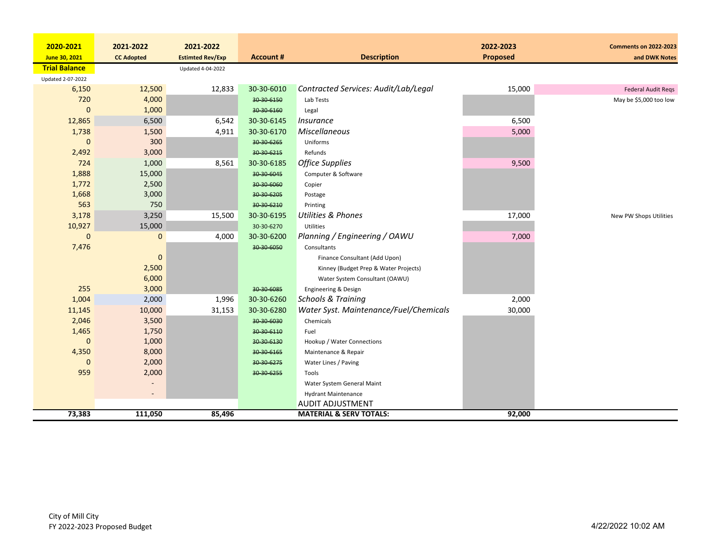| 2020-2021            | 2021-2022         | 2021-2022               |                  |                                        | 2022-2023       | <b>Comments on 2022-2023</b> |
|----------------------|-------------------|-------------------------|------------------|----------------------------------------|-----------------|------------------------------|
| June 30, 2021        | <b>CC Adopted</b> | <b>Estimted Rev/Exp</b> | <b>Account #</b> | <b>Description</b>                     | <b>Proposed</b> | and DWK Notes                |
| <b>Trial Balance</b> |                   | Updated 4-04-2022       |                  |                                        |                 |                              |
| Updated 2-07-2022    |                   |                         |                  |                                        |                 |                              |
| 6,150                | 12,500            | 12,833                  | 30-30-6010       | Contracted Services: Audit/Lab/Legal   | 15,000          | <b>Federal Audit Regs</b>    |
| 720                  | 4,000             |                         | 30-30-6150       | Lab Tests                              |                 | May be \$5,000 too low       |
| $\Omega$             | 1,000             |                         | 30-30-6160       | Legal                                  |                 |                              |
| 12,865               | 6,500             | 6,542                   | 30-30-6145       | <i>Insurance</i>                       | 6,500           |                              |
| 1,738                | 1,500             | 4,911                   | 30-30-6170       | Miscellaneous                          | 5,000           |                              |
| $\Omega$             | 300               |                         | 30-30-6265       | Uniforms                               |                 |                              |
| 2,492                | 3,000             |                         | 30 30 6215       | Refunds                                |                 |                              |
| 724                  | 1,000             | 8,561                   | 30-30-6185       | <b>Office Supplies</b>                 | 9,500           |                              |
| 1,888                | 15,000            |                         | 30-30-6045       | Computer & Software                    |                 |                              |
| 1,772                | 2,500             |                         | 30-30-6060       | Copier                                 |                 |                              |
| 1,668                | 3,000             |                         | 30-30-6205       | Postage                                |                 |                              |
| 563                  | 750               |                         | 30-30-6210       | Printing                               |                 |                              |
| 3,178                | 3,250             | 15,500                  | 30-30-6195       | <b>Utilities &amp; Phones</b>          | 17,000          | New PW Shops Utilities       |
| 10,927               | 15,000            |                         | 30-30-6270       | <b>Utilities</b>                       |                 |                              |
| $\Omega$             | $\mathbf{0}$      | 4,000                   | 30-30-6200       | Planning / Engineering / OAWU          | 7,000           |                              |
| 7,476                |                   |                         | 30-30-6050       | Consultants                            |                 |                              |
|                      | 0                 |                         |                  | Finance Consultant (Add Upon)          |                 |                              |
|                      | 2,500             |                         |                  | Kinney (Budget Prep & Water Projects)  |                 |                              |
|                      | 6,000             |                         |                  | Water System Consultant (OAWU)         |                 |                              |
| 255                  | 3,000             |                         | 30-30-6085       | Engineering & Design                   |                 |                              |
| 1,004                | 2,000             | 1,996                   | 30-30-6260       | <b>Schools &amp; Training</b>          | 2,000           |                              |
| 11,145               | 10,000            | 31,153                  | 30-30-6280       | Water Syst. Maintenance/Fuel/Chemicals | 30,000          |                              |
| 2,046                | 3,500             |                         | 30-30-6030       | Chemicals                              |                 |                              |
| 1,465                | 1,750             |                         | 30-30-6110       | Fuel                                   |                 |                              |
| $\mathbf 0$          | 1,000             |                         | 30-30-6130       | Hookup / Water Connections             |                 |                              |
| 4,350                | 8,000             |                         | 30 30 6165       | Maintenance & Repair                   |                 |                              |
| $\mathbf 0$          | 2,000             |                         | 30-30-6275       | Water Lines / Paving                   |                 |                              |
| 959                  | 2,000             |                         | 30-30-6255       | Tools                                  |                 |                              |
|                      |                   |                         |                  | Water System General Maint             |                 |                              |
|                      |                   |                         |                  | <b>Hydrant Maintenance</b>             |                 |                              |
|                      |                   |                         |                  | <b>AUDIT ADJUSTMENT</b>                |                 |                              |
| 73,383               | 111,050           | 85,496                  |                  | <b>MATERIAL &amp; SERV TOTALS:</b>     | 92,000          |                              |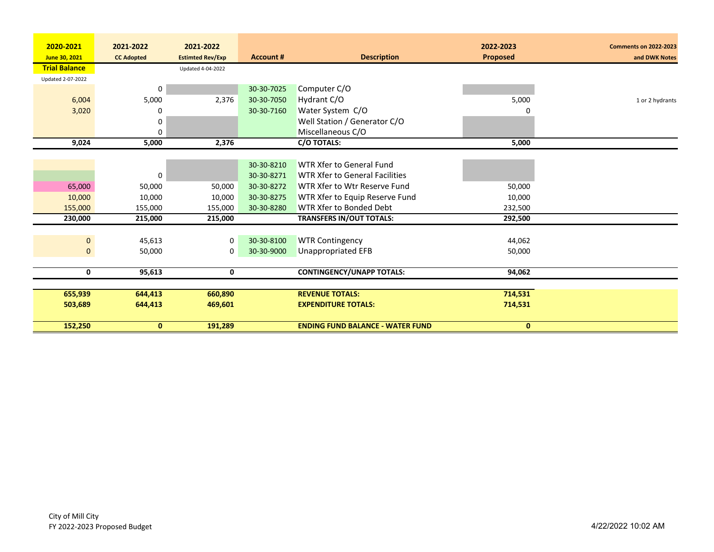| 2020-2021            | 2021-2022         | 2021-2022               |                  |                                         | 2022-2023       | <b>Comments on 2022-2023</b> |
|----------------------|-------------------|-------------------------|------------------|-----------------------------------------|-----------------|------------------------------|
| June 30, 2021        | <b>CC Adopted</b> | <b>Estimted Rev/Exp</b> | <b>Account #</b> | <b>Description</b>                      | <b>Proposed</b> | and DWK Notes                |
| <b>Trial Balance</b> |                   | Updated 4-04-2022       |                  |                                         |                 |                              |
| Updated 2-07-2022    |                   |                         |                  |                                         |                 |                              |
|                      | 0                 |                         | 30-30-7025       | Computer C/O                            |                 |                              |
| 6,004                | 5,000             | 2,376                   | 30-30-7050       | Hydrant C/O                             | 5,000           | 1 or 2 hydrants              |
| 3,020                | 0                 |                         | 30-30-7160       | Water System C/O                        |                 |                              |
|                      | 0                 |                         |                  | Well Station / Generator C/O            |                 |                              |
|                      | 0                 |                         |                  | Miscellaneous C/O                       |                 |                              |
| 9,024                | 5,000             | 2,376                   |                  | C/O TOTALS:                             | 5,000           |                              |
|                      |                   |                         |                  |                                         |                 |                              |
|                      |                   |                         | 30-30-8210       | WTR Xfer to General Fund                |                 |                              |
|                      | 0                 |                         | 30-30-8271       | <b>WTR Xfer to General Facilities</b>   |                 |                              |
| 65,000               | 50,000            | 50,000                  | 30-30-8272       | WTR Xfer to Wtr Reserve Fund            | 50,000          |                              |
| 10,000               | 10,000            | 10,000                  | 30-30-8275       | WTR Xfer to Equip Reserve Fund          | 10,000          |                              |
| 155,000              | 155,000           | 155,000                 | 30-30-8280       | WTR Xfer to Bonded Debt                 | 232,500         |                              |
| 230,000              | 215,000           | 215,000                 |                  | <b>TRANSFERS IN/OUT TOTALS:</b>         | 292,500         |                              |
|                      |                   |                         |                  |                                         |                 |                              |
|                      |                   |                         |                  |                                         |                 |                              |
| $\mathbf{0}$         | 45,613            | 0                       | 30-30-8100       | <b>WTR Contingency</b>                  | 44,062          |                              |
| $\mathbf{0}$         | 50,000            | 0                       | 30-30-9000       | Unappropriated EFB                      | 50,000          |                              |
|                      |                   |                         |                  |                                         |                 |                              |
| 0                    | 95.613            | 0                       |                  | <b>CONTINGENCY/UNAPP TOTALS:</b>        | 94,062          |                              |
|                      |                   |                         |                  |                                         |                 |                              |
| 655,939              | 644,413           | 660,890                 |                  | <b>REVENUE TOTALS:</b>                  | 714,531         |                              |
| 503,689              | 644,413           | 469,601                 |                  | <b>EXPENDITURE TOTALS:</b>              | 714,531         |                              |
|                      |                   |                         |                  |                                         |                 |                              |
| 152,250              | $\mathbf{0}$      | 191,289                 |                  | <b>ENDING FUND BALANCE - WATER FUND</b> | $\mathbf{0}$    |                              |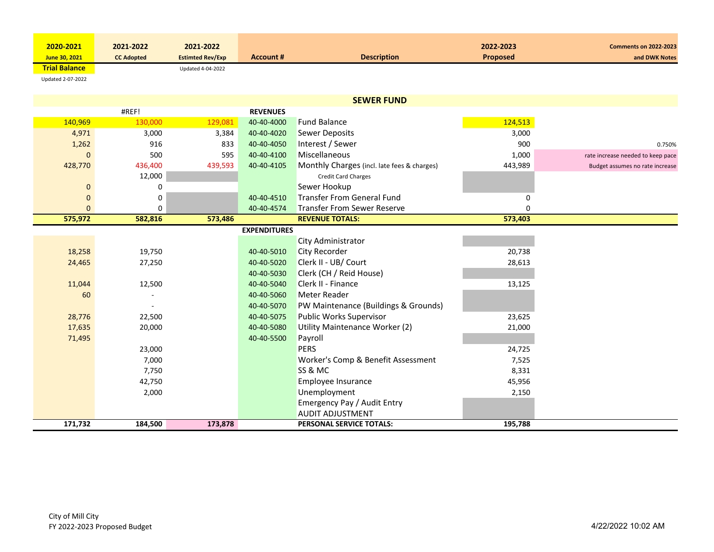| 2020-2021            | 2021-2022         | 2021-2022               |                  |                    | 2022-2023       | <b>Comments on 2022-2023</b> |
|----------------------|-------------------|-------------------------|------------------|--------------------|-----------------|------------------------------|
| June 30, 2021        | <b>CC Adopted</b> | <b>Estimted Rev/Exp</b> | <b>Account #</b> | <b>Description</b> | <b>Proposed</b> | and DWK Notes                |
| <b>Trial Balance</b> |                   | Updated 4-04-2022       |                  |                    |                 |                              |

Updated 2‐07‐2022

|             |         |         |                     | <b>SEWER FUND</b>                           |          |                                   |
|-------------|---------|---------|---------------------|---------------------------------------------|----------|-----------------------------------|
|             | #REF!   |         | <b>REVENUES</b>     |                                             |          |                                   |
| 140,969     | 130,000 | 129,081 | 40-40-4000          | <b>Fund Balance</b>                         | 124,513  |                                   |
| 4,971       | 3,000   | 3,384   | 40-40-4020          | <b>Sewer Deposits</b>                       | 3,000    |                                   |
| 1,262       | 916     | 833     | 40-40-4050          | Interest / Sewer                            | 900      | 0.750%                            |
| $\Omega$    | 500     | 595     | 40-40-4100          | Miscellaneous                               | 1,000    | rate increase needed to keep pace |
| 428,770     | 436,400 | 439,593 | 40-40-4105          | Monthly Charges (incl. late fees & charges) | 443,989  | Budget assumes no rate increase   |
|             | 12,000  |         |                     | <b>Credit Card Charges</b>                  |          |                                   |
| $\mathbf 0$ | 0       |         |                     | Sewer Hookup                                |          |                                   |
| $\mathbf 0$ | 0       |         | 40-40-4510          | <b>Transfer From General Fund</b>           | 0        |                                   |
| $\Omega$    | 0       |         | 40-40-4574          | <b>Transfer From Sewer Reserve</b>          | $\Omega$ |                                   |
| 575,972     | 582,816 | 573,486 |                     | <b>REVENUE TOTALS:</b>                      | 573,403  |                                   |
|             |         |         | <b>EXPENDITURES</b> |                                             |          |                                   |
|             |         |         |                     | City Administrator                          |          |                                   |
| 18,258      | 19,750  |         | 40-40-5010          | <b>City Recorder</b>                        | 20,738   |                                   |
| 24,465      | 27,250  |         | 40-40-5020          | Clerk II - UB/ Court                        | 28,613   |                                   |
|             |         |         | 40-40-5030          | Clerk (CH / Reid House)                     |          |                                   |
| 11,044      | 12,500  |         | 40-40-5040          | Clerk II - Finance                          | 13,125   |                                   |
| 60          |         |         | 40-40-5060          | Meter Reader                                |          |                                   |
|             |         |         | 40-40-5070          | PW Maintenance (Buildings & Grounds)        |          |                                   |
| 28,776      | 22,500  |         | 40-40-5075          | Public Works Supervisor                     | 23,625   |                                   |
| 17,635      | 20,000  |         | 40-40-5080          | Utility Maintenance Worker (2)              | 21,000   |                                   |
| 71,495      |         |         | 40-40-5500          | Payroll                                     |          |                                   |
|             | 23,000  |         |                     | <b>PERS</b>                                 | 24,725   |                                   |
|             | 7,000   |         |                     | Worker's Comp & Benefit Assessment          | 7,525    |                                   |
|             | 7,750   |         |                     | <b>SS &amp; MC</b>                          | 8,331    |                                   |
|             | 42,750  |         |                     | Employee Insurance                          | 45,956   |                                   |
|             | 2,000   |         |                     | Unemployment                                | 2,150    |                                   |
|             |         |         |                     | Emergency Pay / Audit Entry                 |          |                                   |
|             |         |         |                     | <b>AUDIT ADJUSTMENT</b>                     |          |                                   |
| 171,732     | 184,500 | 173,878 |                     | PERSONAL SERVICE TOTALS:                    | 195,788  |                                   |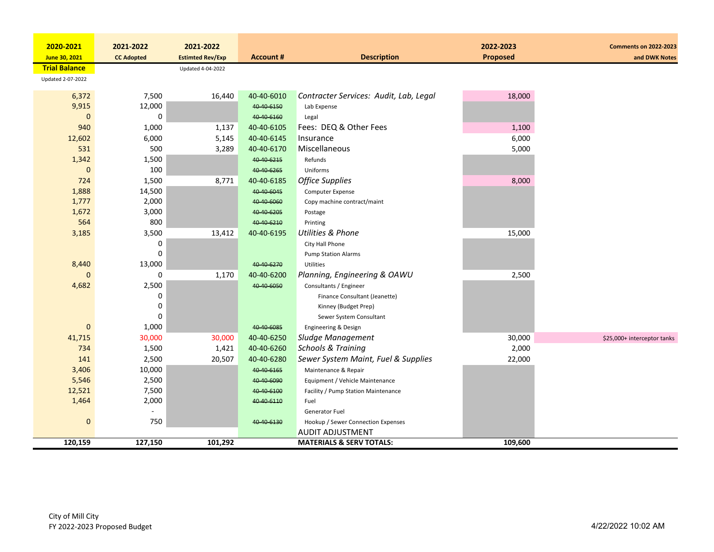| 2020-2021            | 2021-2022           | 2021-2022               |                  |                                        | 2022-2023       | <b>Comments on 2022-2023</b> |
|----------------------|---------------------|-------------------------|------------------|----------------------------------------|-----------------|------------------------------|
| June 30, 2021        | <b>CC Adopted</b>   | <b>Estimted Rev/Exp</b> | <b>Account #</b> | <b>Description</b>                     | <b>Proposed</b> | and DWK Notes                |
| <b>Trial Balance</b> |                     | Updated 4-04-2022       |                  |                                        |                 |                              |
| Updated 2-07-2022    |                     |                         |                  |                                        |                 |                              |
|                      |                     |                         |                  |                                        |                 |                              |
| 6,372                | 7,500               | 16,440                  | 40-40-6010       | Contracter Services: Audit, Lab, Legal | 18,000          |                              |
| 9,915                | 12,000<br>$\pmb{0}$ |                         | 40-40-6150       | Lab Expense                            |                 |                              |
| $\mathbf{0}$<br>940  |                     |                         | 40-40-6160       | Legal<br>Fees: DEQ & Other Fees        |                 |                              |
|                      | 1,000               | 1,137                   | 40-40-6105       |                                        | 1,100           |                              |
| 12,602               | 6,000               | 5,145                   | 40-40-6145       | Insurance                              | 6,000           |                              |
| 531                  | 500                 | 3,289                   | 40-40-6170       | Miscellaneous                          | 5,000           |                              |
| 1,342                | 1,500               |                         | 40-40-6215       | Refunds                                |                 |                              |
| $\mathbf{0}$         | 100                 |                         | 40-40-6265       | Uniforms                               |                 |                              |
| 724                  | 1,500               | 8,771                   | 40-40-6185       | <b>Office Supplies</b>                 | 8,000           |                              |
| 1,888                | 14,500              |                         | 40-40-6045       | Computer Expense                       |                 |                              |
| 1,777                | 2,000               |                         | 40-40-6060       | Copy machine contract/maint            |                 |                              |
| 1,672                | 3,000               |                         | 40 40 6205       | Postage                                |                 |                              |
| 564                  | 800                 |                         | 40-40-6210       | Printing                               |                 |                              |
| 3,185                | 3,500               | 13,412                  | 40-40-6195       | <b>Utilities &amp; Phone</b>           | 15,000          |                              |
|                      | 0                   |                         |                  | City Hall Phone                        |                 |                              |
|                      | $\mathbf 0$         |                         |                  | <b>Pump Station Alarms</b>             |                 |                              |
| 8,440                | 13,000              |                         | 40-40-6270       | <b>Utilities</b>                       |                 |                              |
| $\Omega$             | 0                   | 1,170                   | 40-40-6200       | Planning, Engineering & OAWU           | 2,500           |                              |
| 4,682                | 2,500               |                         | 40-40-6050       | Consultants / Engineer                 |                 |                              |
|                      | 0                   |                         |                  | Finance Consultant (Jeanette)          |                 |                              |
|                      | 0                   |                         |                  | Kinney (Budget Prep)                   |                 |                              |
|                      | 0                   |                         |                  | Sewer System Consultant                |                 |                              |
| $\mathbf{0}$         | 1,000               |                         | 40-40-6085       | <b>Engineering &amp; Design</b>        |                 |                              |
| 41,715               | 30,000              | 30,000                  | 40-40-6250       | Sludge Management                      | 30,000          | \$25,000+ interceptor tanks  |
| 734                  | 1,500               | 1,421                   | 40-40-6260       | <b>Schools &amp; Training</b>          | 2,000           |                              |
| 141                  | 2,500               | 20,507                  | 40-40-6280       | Sewer System Maint, Fuel & Supplies    | 22,000          |                              |
| 3,406                | 10,000              |                         | 40-40-6165       | Maintenance & Repair                   |                 |                              |
| 5,546                | 2,500               |                         | 40-40-6090       | Equipment / Vehicle Maintenance        |                 |                              |
| 12,521               | 7,500               |                         | 40-40-6100       | Facility / Pump Station Maintenance    |                 |                              |
| 1,464                | 2,000               |                         | 40-40-6110       | Fuel                                   |                 |                              |
|                      |                     |                         |                  | Generator Fuel                         |                 |                              |
| $\mathbf 0$          | 750                 |                         | 40-40-6130       | Hookup / Sewer Connection Expenses     |                 |                              |
|                      |                     |                         |                  | <b>AUDIT ADJUSTMENT</b>                |                 |                              |
| 120,159              | 127,150             | 101,292                 |                  | <b>MATERIALS &amp; SERV TOTALS:</b>    | 109,600         |                              |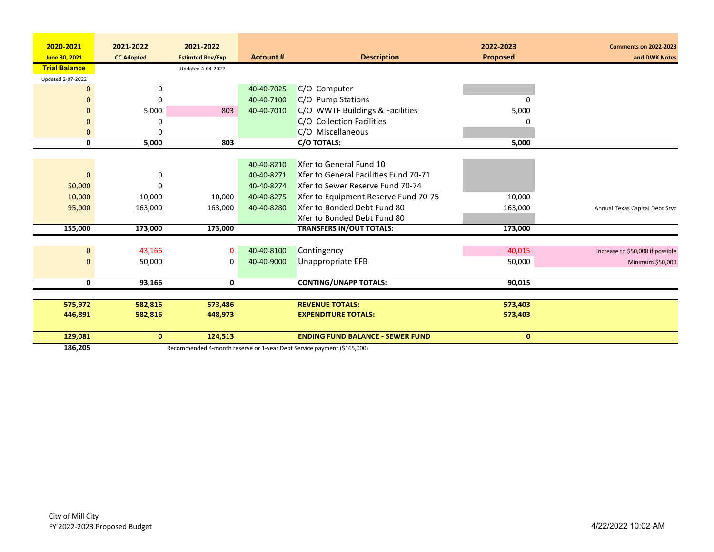| 2020-2021            | 2021-2022         | 2021-2022               |                  |                                         | 2022-2023       | <b>Comments on 2022-2023</b>     |
|----------------------|-------------------|-------------------------|------------------|-----------------------------------------|-----------------|----------------------------------|
| June 30, 2021        | <b>CC Adopted</b> | <b>Estimted Rev/Exp</b> | <b>Account #</b> | <b>Description</b>                      | <b>Proposed</b> | and DWK Notes                    |
| <b>Trial Balance</b> |                   | Updated 4-04-2022       |                  |                                         |                 |                                  |
| Updated 2-07-2022    |                   |                         |                  |                                         |                 |                                  |
| $\overline{0}$       | 0                 |                         | 40-40-7025       | C/O Computer                            |                 |                                  |
| $\mathbf 0$          | 0                 |                         | 40-40-7100       | C/O Pump Stations                       |                 |                                  |
| $\Omega$             | 5,000             | 803                     | 40-40-7010       | C/O WWTF Buildings & Facilities         | 5,000           |                                  |
| $\mathbf 0$          | O                 |                         |                  | C/O Collection Facilities               |                 |                                  |
| $\mathbf{0}$         | $\Omega$          |                         |                  | C/O Miscellaneous                       |                 |                                  |
| 0                    | 5,000             | 803                     |                  | C/O TOTALS:                             | 5,000           |                                  |
|                      |                   |                         |                  |                                         |                 |                                  |
|                      |                   |                         | 40-40-8210       | Xfer to General Fund 10                 |                 |                                  |
| $\mathbf 0$          | 0                 |                         | 40-40-8271       | Xfer to General Facilities Fund 70-71   |                 |                                  |
| 50,000               | n                 |                         | 40-40-8274       | Xfer to Sewer Reserve Fund 70-74        |                 |                                  |
| 10,000               | 10,000            | 10,000                  | 40-40-8275       | Xfer to Equipment Reserve Fund 70-75    | 10,000          |                                  |
| 95,000               | 163,000           | 163,000                 | 40-40-8280       | Xfer to Bonded Debt Fund 80             | 163,000         | Annual Texas Capital Debt Srvc   |
|                      |                   |                         |                  | Xfer to Bonded Debt Fund 80             |                 |                                  |
| 155,000              | 173,000           | 173,000                 |                  | <b>TRANSFERS IN/OUT TOTALS:</b>         | 173,000         |                                  |
|                      |                   |                         |                  |                                         |                 |                                  |
| $\mathbf 0$          | 43,166            | $\mathbf 0$             | 40-40-8100       | Contingency                             | 40,015          | Increase to \$50,000 if possible |
| $\mathbf 0$          | 50,000            | 0                       | 40-40-9000       | Unappropriate EFB                       | 50,000          | Minimum \$50,000                 |
|                      |                   |                         |                  |                                         |                 |                                  |
| 0                    | 93,166            | 0                       |                  | <b>CONTING/UNAPP TOTALS:</b>            | 90,015          |                                  |
|                      |                   |                         |                  |                                         |                 |                                  |
| 575,972              | 582,816           | 573,486                 |                  | <b>REVENUE TOTALS:</b>                  | 573,403         |                                  |
| 446,891              | 582,816           | 448,973                 |                  | <b>EXPENDITURE TOTALS:</b>              | 573,403         |                                  |
|                      |                   |                         |                  |                                         |                 |                                  |
| 129,081              | $\mathbf{0}$      | 124,513                 |                  | <b>ENDING FUND BALANCE - SEWER FUND</b> | $\mathbf{0}$    |                                  |

186,205 Recommended 4-month reserve or 1-year Debt Service payment (\$165,000)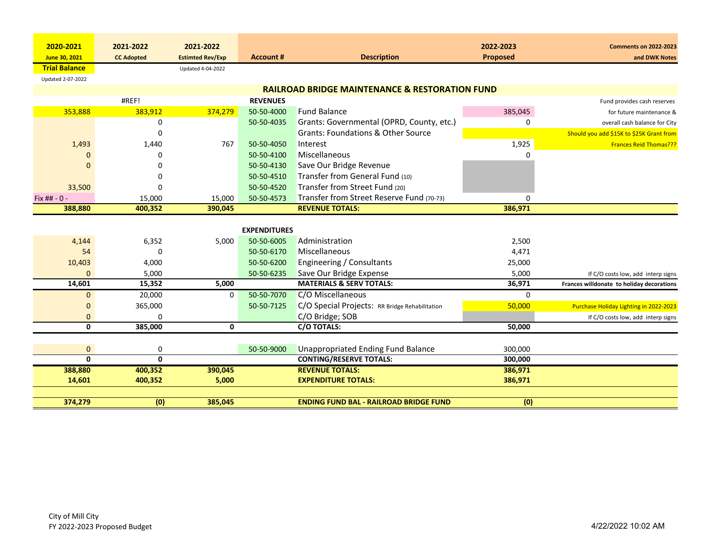| 2020-2021            | 2021-2022         | 2021-2022               |                     |                                                                                            | 2022-2023         | <b>Comments on 2022-2023</b>              |
|----------------------|-------------------|-------------------------|---------------------|--------------------------------------------------------------------------------------------|-------------------|-------------------------------------------|
| June 30, 2021        | <b>CC Adopted</b> | <b>Estimted Rev/Exp</b> | <b>Account #</b>    | <b>Description</b>                                                                         | Proposed          | and DWK Notes                             |
| <b>Trial Balance</b> |                   | Updated 4-04-2022       |                     |                                                                                            |                   |                                           |
| Updated 2-07-2022    |                   |                         |                     | <b>RAILROAD BRIDGE MAINTENANCE &amp; RESTORATION FUND</b>                                  |                   |                                           |
|                      | #REF!             |                         | <b>REVENUES</b>     |                                                                                            |                   |                                           |
| 353,888              | 383,912           | 374,279                 | 50-50-4000          | <b>Fund Balance</b>                                                                        | 385,045           | Fund provides cash reserves               |
|                      |                   |                         |                     |                                                                                            |                   | for future maintenance &                  |
|                      | 0<br>$\Omega$     |                         | 50-50-4035          | Grants: Governmental (OPRD, County, etc.)<br><b>Grants: Foundations &amp; Other Source</b> | 0                 | overall cash balance for City             |
|                      |                   |                         | 50-50-4050          | Interest                                                                                   |                   | Should you add \$15K to \$25K Grant from  |
| 1,493                | 1,440             | 767                     | 50-50-4100          | Miscellaneous                                                                              | 1,925<br>$\Omega$ | <b>Frances Reid Thomas???</b>             |
|                      | $\Omega$          |                         |                     |                                                                                            |                   |                                           |
| $\Omega$             | $\Omega$          |                         | 50-50-4130          | Save Our Bridge Revenue                                                                    |                   |                                           |
|                      | $\Omega$          |                         | 50-50-4510          | Transfer from General Fund (10)                                                            |                   |                                           |
| 33,500               | $\Omega$          |                         | 50-50-4520          | Transfer from Street Fund (20)                                                             |                   |                                           |
| Fix ## - 0 -         | 15,000            | 15,000                  | 50-50-4573          | Transfer from Street Reserve Fund (70-73)                                                  | 0                 |                                           |
| 388,880              | 400,352           | 390,045                 |                     | <b>REVENUE TOTALS:</b>                                                                     | 386,971           |                                           |
|                      |                   |                         | <b>EXPENDITURES</b> |                                                                                            |                   |                                           |
| 4,144                | 6,352             | 5,000                   | 50-50-6005          | Administration                                                                             | 2,500             |                                           |
| 54                   | 0                 |                         | 50-50-6170          | Miscellaneous                                                                              |                   |                                           |
|                      |                   |                         |                     |                                                                                            | 4,471             |                                           |
| 10,403               | 4,000             |                         | 50-50-6200          | Engineering / Consultants                                                                  | 25,000            |                                           |
| $\Omega$             | 5,000             |                         | 50-50-6235          | Save Our Bridge Expense                                                                    | 5,000             | If C/O costs low, add interp signs        |
| 14,601               | 15,352            | 5,000                   |                     | <b>MATERIALS &amp; SERV TOTALS:</b>                                                        | 36,971            | Frances willdonate to holiday decorations |
| $\mathbf{0}$         | 20,000            | 0                       | 50-50-7070          | C/O Miscellaneous                                                                          | $\Omega$          |                                           |
| $\mathbf{0}$         | 365,000           |                         | 50-50-7125          | C/O Special Projects: RR Bridge Rehabilitation                                             | 50,000            | Purchase Holiday Lighting in 2022-2023    |
| $\mathbf{0}$         | 0                 |                         |                     | C/O Bridge; SOB                                                                            |                   | If C/O costs low, add interp signs        |
| 0                    | 385,000           | 0                       |                     | C/O TOTALS:                                                                                | 50,000            |                                           |
|                      |                   |                         |                     |                                                                                            |                   |                                           |
| $\mathbf{0}$         | 0                 |                         | 50-50-9000          | <b>Unappropriated Ending Fund Balance</b>                                                  | 300,000           |                                           |
| $\mathbf{0}$         | $\mathbf{0}$      |                         |                     | <b>CONTING/RESERVE TOTALS:</b>                                                             | 300,000           |                                           |
| 388,880              | 400,352           | 390,045                 |                     | <b>REVENUE TOTALS:</b>                                                                     | 386,971           |                                           |
| 14,601               | 400,352           | 5,000                   |                     | <b>EXPENDITURE TOTALS:</b>                                                                 | 386,971           |                                           |
|                      |                   |                         |                     |                                                                                            |                   |                                           |
| 374,279              | (0)               | 385,045                 |                     | <b>ENDING FUND BAL - RAILROAD BRIDGE FUND</b>                                              | $\overline{(0)}$  |                                           |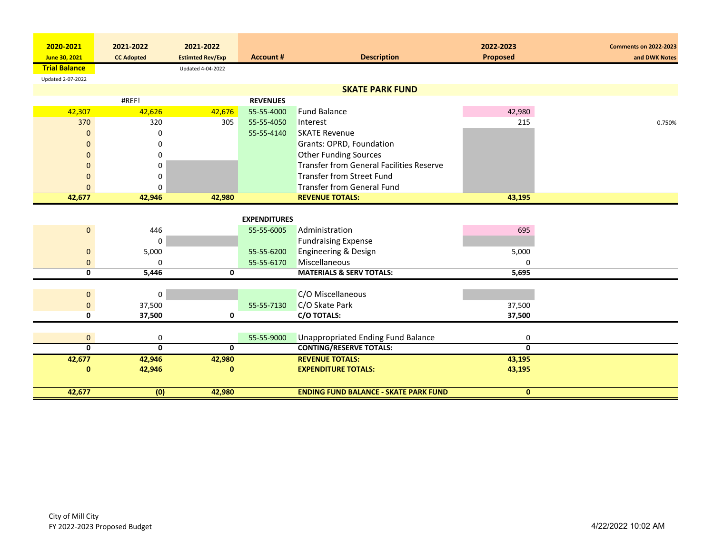| 2020-2021               | 2021-2022               | 2021-2022               |                     |                                                 | 2022-2023               | <b>Comments on 2022-2023</b> |
|-------------------------|-------------------------|-------------------------|---------------------|-------------------------------------------------|-------------------------|------------------------------|
| June 30, 2021           | <b>CC Adopted</b>       | <b>Estimted Rev/Exp</b> | <b>Account #</b>    | <b>Description</b>                              | Proposed                | and DWK Notes                |
| <b>Trial Balance</b>    |                         | Updated 4-04-2022       |                     |                                                 |                         |                              |
| Updated 2-07-2022       |                         |                         |                     |                                                 |                         |                              |
|                         |                         |                         |                     | <b>SKATE PARK FUND</b>                          |                         |                              |
|                         | #REF!                   |                         | <b>REVENUES</b>     |                                                 |                         |                              |
| 42,307                  | 42,626                  | 42,676                  | 55-55-4000          | <b>Fund Balance</b>                             | 42,980                  |                              |
| 370                     | 320                     | 305                     | 55-55-4050          | Interest                                        | 215                     | 0.750%                       |
| $\Omega$                | 0                       |                         | 55-55-4140          | <b>SKATE Revenue</b>                            |                         |                              |
| $\Omega$                | 0                       |                         |                     | Grants: OPRD, Foundation                        |                         |                              |
| $\mathbf{0}$            | 0                       |                         |                     | <b>Other Funding Sources</b>                    |                         |                              |
| $\Omega$                | 0                       |                         |                     | <b>Transfer from General Facilities Reserve</b> |                         |                              |
| 0                       | 0                       |                         |                     | <b>Transfer from Street Fund</b>                |                         |                              |
| $\Omega$                | 0                       |                         |                     | <b>Transfer from General Fund</b>               |                         |                              |
| 42,677                  | 42,946                  | 42,980                  |                     | <b>REVENUE TOTALS:</b>                          | 43,195                  |                              |
|                         |                         |                         |                     |                                                 |                         |                              |
|                         |                         |                         | <b>EXPENDITURES</b> |                                                 |                         |                              |
| $\mathbf{0}$            | 446                     |                         | 55-55-6005          | Administration                                  | 695                     |                              |
|                         | 0                       |                         |                     | <b>Fundraising Expense</b>                      |                         |                              |
| $\mathbf 0$             | 5,000                   |                         | 55-55-6200          | Engineering & Design                            | 5,000                   |                              |
| $\mathbf{0}$            | 0                       |                         | 55-55-6170          | Miscellaneous                                   | 0                       |                              |
| 0                       | 5,446                   | $\mathbf{0}$            |                     | <b>MATERIALS &amp; SERV TOTALS:</b>             | 5,695                   |                              |
|                         |                         |                         |                     |                                                 |                         |                              |
| $\mathbf 0$             | 0                       |                         |                     | C/O Miscellaneous                               |                         |                              |
| $\mathbf{0}$            | 37,500                  |                         | 55-55-7130          | C/O Skate Park                                  | 37,500                  |                              |
| $\overline{\mathbf{0}}$ | 37,500                  | $\mathbf 0$             |                     | C/O TOTALS:                                     | 37,500                  |                              |
|                         |                         |                         |                     |                                                 |                         |                              |
| $\mathbf 0$             | 0                       |                         | 55-55-9000          | <b>Unappropriated Ending Fund Balance</b>       | 0                       |                              |
| $\overline{\mathbf{0}}$ | $\overline{\mathbf{0}}$ | $\mathbf{0}$            |                     | <b>CONTING/RESERVE TOTALS:</b>                  | $\overline{\mathbf{0}}$ |                              |
| 42,677                  | 42,946                  | 42,980                  |                     | <b>REVENUE TOTALS:</b>                          | 43,195                  |                              |
| $\mathbf{0}$            | 42,946                  | $\mathbf{0}$            |                     | <b>EXPENDITURE TOTALS:</b>                      | 43,195                  |                              |
|                         |                         |                         |                     |                                                 |                         |                              |
| 42,677                  | (0)                     | 42,980                  |                     | <b>ENDING FUND BALANCE - SKATE PARK FUND</b>    | $\mathbf{0}$            |                              |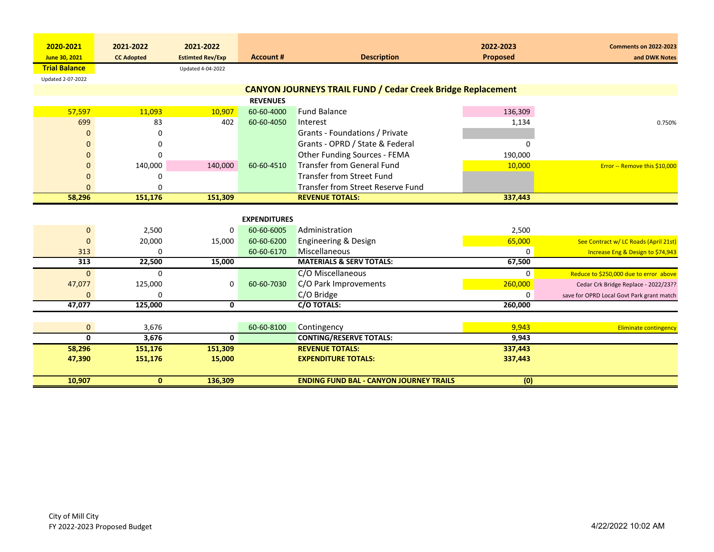|                            | 2021-2022         | 2021-2022               |                     |                                                                    | 2022-2023   |                                               |
|----------------------------|-------------------|-------------------------|---------------------|--------------------------------------------------------------------|-------------|-----------------------------------------------|
| 2020-2021<br>June 30, 2021 | <b>CC Adopted</b> | <b>Estimted Rev/Exp</b> | <b>Account #</b>    | <b>Description</b>                                                 | Proposed    | <b>Comments on 2022-2023</b><br>and DWK Notes |
| <b>Trial Balance</b>       |                   | Updated 4-04-2022       |                     |                                                                    |             |                                               |
| Updated 2-07-2022          |                   |                         |                     |                                                                    |             |                                               |
|                            |                   |                         |                     | <b>CANYON JOURNEYS TRAIL FUND / Cedar Creek Bridge Replacement</b> |             |                                               |
|                            |                   |                         | <b>REVENUES</b>     |                                                                    |             |                                               |
| 57,597                     | 11,093            | 10,907                  | 60-60-4000          | <b>Fund Balance</b>                                                | 136,309     |                                               |
| 699                        | 83                | 402                     | 60-60-4050          | Interest                                                           | 1,134       | 0.750%                                        |
| O                          | 0                 |                         |                     | Grants - Foundations / Private                                     |             |                                               |
| $\Omega$                   | 0                 |                         |                     | Grants - OPRD / State & Federal                                    | 0           |                                               |
| $\Omega$                   | 0                 |                         |                     | Other Funding Sources - FEMA                                       | 190,000     |                                               |
| 0                          | 140,000           | 140,000                 | 60-60-4510          | <b>Transfer from General Fund</b>                                  | 10,000      | Error -- Remove this \$10,000                 |
| $\mathbf{0}$               | 0                 |                         |                     | <b>Transfer from Street Fund</b>                                   |             |                                               |
| $\Omega$                   | U                 |                         |                     | Transfer from Street Reserve Fund                                  |             |                                               |
| 58,296                     | 151,176           | 151,309                 |                     | <b>REVENUE TOTALS:</b>                                             | 337,443     |                                               |
|                            |                   |                         |                     |                                                                    |             |                                               |
|                            |                   |                         | <b>EXPENDITURES</b> |                                                                    |             |                                               |
| $\mathbf{0}$               | 2,500             | 0                       | 60-60-6005          | Administration                                                     | 2,500       |                                               |
| $\mathbf 0$                | 20,000            | 15,000                  | 60-60-6200          | Engineering & Design                                               | 65,000      | See Contract w/ LC Roads (April 21st)         |
| 313                        | 0                 |                         | 60-60-6170          | Miscellaneous                                                      | $\mathbf 0$ | Increase Eng & Design to \$74,943             |
| 313                        | 22,500            | 15,000                  |                     | <b>MATERIALS &amp; SERV TOTALS:</b>                                | 67,500      |                                               |
| $\Omega$                   | 0                 |                         |                     | C/O Miscellaneous                                                  | $\Omega$    | Reduce to \$250,000 due to error above        |
| 47,077                     | 125,000           | 0                       | 60-60-7030          | C/O Park Improvements                                              | 260,000     | Cedar Crk Bridge Replace - 2022/23??          |
| $\Omega$                   | 0                 |                         |                     | C/O Bridge                                                         | 0           | save for OPRD Local Govt Park grant match     |
| 47,077                     | 125,000           | 0                       |                     | C/O TOTALS:                                                        | 260,000     |                                               |
|                            |                   |                         |                     |                                                                    |             |                                               |
| $\mathbf{0}$               | 3,676             |                         | 60-60-8100          | Contingency                                                        | 9,943       | <b>Eliminate contingency</b>                  |
| $\mathbf{0}$               | 3,676             | $\mathbf 0$             |                     | <b>CONTING/RESERVE TOTALS:</b>                                     | 9,943       |                                               |
| 58,296                     | 151,176           | 151,309                 |                     | <b>REVENUE TOTALS:</b>                                             | 337,443     |                                               |
| 47,390                     | 151,176           | 15,000                  |                     | <b>EXPENDITURE TOTALS:</b>                                         | 337,443     |                                               |
|                            |                   |                         |                     |                                                                    |             |                                               |
| 10,907                     | $\mathbf{0}$      | 136,309                 |                     | <b>ENDING FUND BAL - CANYON JOURNEY TRAILS</b>                     | (0)         |                                               |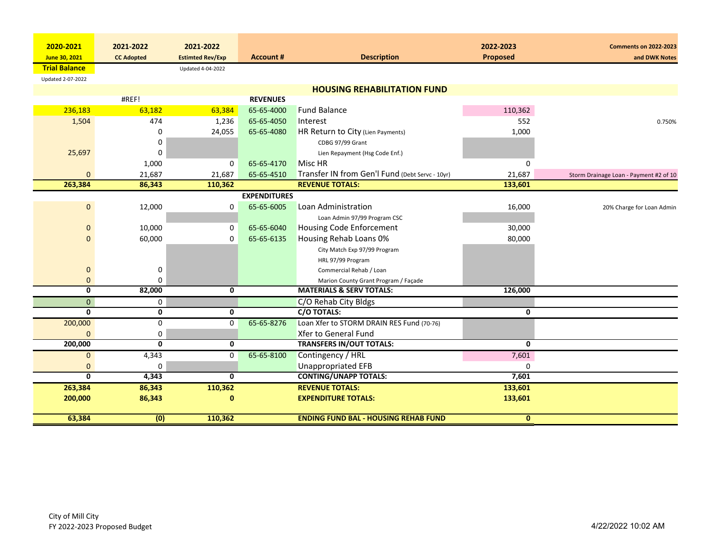| 2020-2021                | 2021-2022         | 2021-2022               |                     |                                                 | 2022-2023       | <b>Comments on 2022-2023</b>           |
|--------------------------|-------------------|-------------------------|---------------------|-------------------------------------------------|-----------------|----------------------------------------|
| June 30, 2021            | <b>CC Adopted</b> | <b>Estimted Rev/Exp</b> | <b>Account #</b>    | <b>Description</b>                              | <b>Proposed</b> | and DWK Notes                          |
| <b>Trial Balance</b>     |                   | Updated 4-04-2022       |                     |                                                 |                 |                                        |
| <b>Updated 2-07-2022</b> |                   |                         |                     |                                                 |                 |                                        |
|                          |                   |                         |                     | <b>HOUSING REHABILITATION FUND</b>              |                 |                                        |
|                          | #REF!             |                         | <b>REVENUES</b>     |                                                 |                 |                                        |
| 236,183                  | 63,182            | 63,384                  | 65-65-4000          | <b>Fund Balance</b>                             | 110,362         |                                        |
| 1,504                    | 474               | 1,236                   | 65-65-4050          | Interest                                        | 552             | 0.750%                                 |
|                          | 0                 | 24,055                  | 65-65-4080          | HR Return to City (Lien Payments)               | 1,000           |                                        |
|                          | 0                 |                         |                     | CDBG 97/99 Grant                                |                 |                                        |
| 25,697                   | 0                 |                         |                     | Lien Repayment (Hsg Code Enf.)                  |                 |                                        |
|                          | 1,000             | $\mathbf 0$             | 65-65-4170          | Misc HR                                         | $\Omega$        |                                        |
| $\mathbf{0}$             | 21,687            | 21,687                  | 65-65-4510          | Transfer IN from Gen'l Fund (Debt Servc - 10yr) | 21,687          | Storm Drainage Loan - Payment #2 of 10 |
| 263,384                  | 86,343            | 110,362                 |                     | <b>REVENUE TOTALS:</b>                          | 133,601         |                                        |
|                          |                   |                         | <b>EXPENDITURES</b> |                                                 |                 |                                        |
| $\mathbf 0$              | 12,000            | 0                       | 65-65-6005          | Loan Administration                             | 16,000          | 20% Charge for Loan Admin              |
|                          |                   |                         |                     | Loan Admin 97/99 Program CSC                    |                 |                                        |
| $\mathbf 0$              | 10,000            | 0                       | 65-65-6040          | Housing Code Enforcement                        | 30,000          |                                        |
| $\Omega$                 | 60,000            | 0                       | 65-65-6135          | Housing Rehab Loans 0%                          | 80,000          |                                        |
|                          |                   |                         |                     | City Match Exp 97/99 Program                    |                 |                                        |
|                          |                   |                         |                     | HRL 97/99 Program                               |                 |                                        |
| $\mathbf 0$              | 0                 |                         |                     | Commercial Rehab / Loan                         |                 |                                        |
| 0                        | 0                 |                         |                     | Marion County Grant Program / Façade            |                 |                                        |
| $\mathbf{0}$             | 82,000            | $\mathbf{0}$            |                     | <b>MATERIALS &amp; SERV TOTALS:</b>             | 126,000         |                                        |
| $\mathbf{0}$             | 0                 |                         |                     | C/O Rehab City Bldgs                            |                 |                                        |
| $\mathbf{0}$             | $\mathbf{0}$      | $\mathbf 0$             |                     | C/O TOTALS:                                     | 0               |                                        |
| 200,000                  | 0                 | 0                       | 65-65-8276          | Loan Xfer to STORM DRAIN RES Fund (70-76)       |                 |                                        |
| $\Omega$                 | 0                 |                         |                     | Xfer to General Fund                            |                 |                                        |
| 200,000                  | $\mathbf{0}$      | $\mathbf 0$             |                     | <b>TRANSFERS IN/OUT TOTALS:</b>                 | $\mathbf{0}$    |                                        |
| $\mathbf 0$              | 4,343             | 0                       | 65-65-8100          | Contingency / HRL                               | 7,601           |                                        |
| $\mathbf{0}$             | 0                 |                         |                     | Unappropriated EFB                              | 0               |                                        |
| $\mathbf{0}$             | 4,343             | $\mathbf{0}$            |                     | <b>CONTING/UNAPP TOTALS:</b>                    | 7,601           |                                        |
| 263,384                  | 86,343            | 110,362                 |                     | <b>REVENUE TOTALS:</b>                          | 133,601         |                                        |
| 200,000                  | 86,343            | $\mathbf{0}$            |                     | <b>EXPENDITURE TOTALS:</b>                      | 133,601         |                                        |
| 63,384                   | (0)               | 110,362                 |                     | <b>ENDING FUND BAL - HOUSING REHAB FUND</b>     | $\mathbf{0}$    |                                        |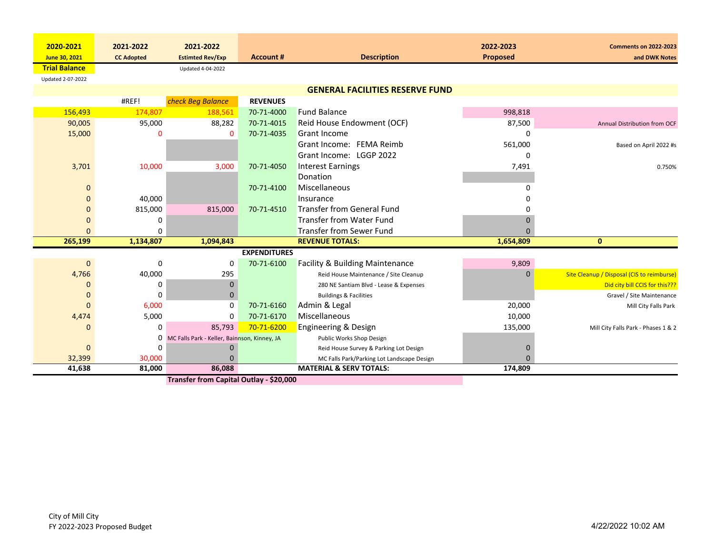| 2020-2021            | 2021-2022         | 2021-2022                                    |                     |                                            | 2022-2023       | <b>Comments on 2022-2023</b>               |
|----------------------|-------------------|----------------------------------------------|---------------------|--------------------------------------------|-----------------|--------------------------------------------|
| June 30, 2021        | <b>CC Adopted</b> | <b>Estimted Rev/Exp</b>                      | <b>Account #</b>    | <b>Description</b>                         | <b>Proposed</b> | and DWK Notes                              |
| <b>Trial Balance</b> |                   | Updated 4-04-2022                            |                     |                                            |                 |                                            |
| Updated 2-07-2022    |                   |                                              |                     |                                            |                 |                                            |
|                      |                   |                                              |                     | <b>GENERAL FACILITIES RESERVE FUND</b>     |                 |                                            |
|                      | #REF!             | check Beg Balance                            | <b>REVENUES</b>     |                                            |                 |                                            |
| 156,493              | 174,807           | 188,561                                      | 70-71-4000          | <b>Fund Balance</b>                        | 998,818         |                                            |
| 90,005               | 95,000            | 88,282                                       | 70-71-4015          | Reid House Endowment (OCF)                 | 87,500          | Annual Distribution from OCF               |
| 15,000               | n                 | $\mathbf 0$                                  | 70-71-4035          | <b>Grant Income</b>                        | $\Omega$        |                                            |
|                      |                   |                                              |                     | Grant Income: FEMA Reimb                   | 561,000         | Based on April 2022 #s                     |
|                      |                   |                                              |                     | Grant Income: LGGP 2022                    | O               |                                            |
| 3,701                | 10,000            | 3,000                                        | 70-71-4050          | <b>Interest Earnings</b>                   | 7,491           | 0.750%                                     |
|                      |                   |                                              |                     | Donation                                   |                 |                                            |
| 0                    |                   |                                              | 70-71-4100          | Miscellaneous                              |                 |                                            |
| 0                    | 40,000            |                                              |                     | Insurance                                  |                 |                                            |
| 0                    | 815,000           | 815,000                                      | 70-71-4510          | Transfer from General Fund                 |                 |                                            |
| 0                    | 0                 |                                              |                     | <b>Transfer from Water Fund</b>            |                 |                                            |
| $\Omega$             | 0                 |                                              |                     | <b>Transfer from Sewer Fund</b>            |                 |                                            |
| 265,199              | 1,134,807         | 1,094,843                                    |                     | <b>REVENUE TOTALS:</b>                     | 1,654,809       | $\mathbf{0}$                               |
|                      |                   |                                              | <b>EXPENDITURES</b> |                                            |                 |                                            |
| $\Omega$             | 0                 | 0                                            | 70-71-6100          | <b>Facility &amp; Building Maintenance</b> | 9,809           |                                            |
| 4,766                | 40,000            | 295                                          |                     | Reid House Maintenance / Site Cleanup      | $\mathbf{0}$    | Site Cleanup / Disposal (CIS to reimburse) |
| 0                    | 0                 | $\mathbf{0}$                                 |                     | 280 NE Santiam Blvd - Lease & Expenses     |                 | Did city bill CCIS for this???             |
| $\mathbf 0$          | $\mathbf 0$       | $\mathbf{0}$                                 |                     | <b>Buildings &amp; Facilities</b>          |                 | Gravel / Site Maintenance                  |
| $\mathbf{0}$         | 6,000             | $\mathbf 0$                                  | 70-71-6160          | Admin & Legal                              | 20,000          | Mill City Falls Park                       |
| 4,474                | 5,000             | 0                                            | 70-71-6170          | <b>Miscellaneous</b>                       | 10,000          |                                            |
| 0                    | 0                 | 85,793                                       | 70-71-6200          | <b>Engineering &amp; Design</b>            | 135,000         | Mill City Falls Park - Phases 1 & 2        |
|                      | 0                 | MC Falls Park - Keller, Bainnson, Kinney, JA |                     | Public Works Shop Design                   |                 |                                            |
| $\Omega$             | $\Omega$          | 0                                            |                     | Reid House Survey & Parking Lot Design     |                 |                                            |
| 32,399               | 30,000            | $\Omega$                                     |                     | MC Falls Park/Parking Lot Landscape Design | $\Omega$        |                                            |
| 41,638               | 81,000            | 86,088                                       |                     | <b>MATERIAL &amp; SERV TOTALS:</b>         | 174,809         |                                            |
|                      |                   | Transfer from Capital Outlay - \$20,000      |                     |                                            |                 |                                            |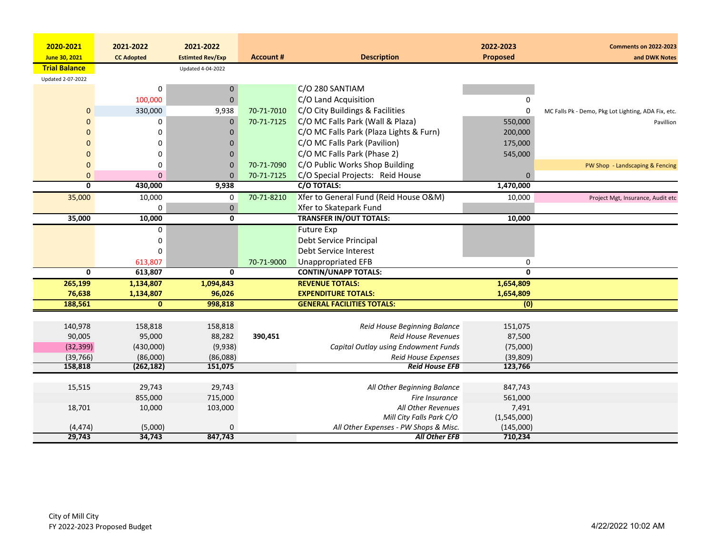| 2020-2021               | 2021-2022         | 2021-2022               |                  |                                         | 2022-2023               | <b>Comments on 2022-2023</b>                        |
|-------------------------|-------------------|-------------------------|------------------|-----------------------------------------|-------------------------|-----------------------------------------------------|
| June 30, 2021           | <b>CC Adopted</b> | <b>Estimted Rev/Exp</b> | <b>Account #</b> | <b>Description</b>                      | Proposed                | and DWK Notes                                       |
| <b>Trial Balance</b>    |                   | Updated 4-04-2022       |                  |                                         |                         |                                                     |
| Updated 2-07-2022       |                   |                         |                  |                                         |                         |                                                     |
|                         | 0                 | 0                       |                  | C/O 280 SANTIAM                         |                         |                                                     |
|                         | 100,000           | $\pmb{0}$               |                  | C/O Land Acquisition                    | 0                       |                                                     |
| $\mathbf 0$             | 330,000           | 9,938                   | 70-71-7010       | C/O City Buildings & Facilities         | 0                       | MC Falls Pk - Demo, Pkg Lot Lighting, ADA Fix, etc. |
| $\mathbf{0}$            | 0                 | $\mathbf 0$             | 70-71-7125       | C/O MC Falls Park (Wall & Plaza)        | 550,000                 | Pavillion                                           |
| $\Omega$                | 0                 | 0                       |                  | C/O MC Falls Park (Plaza Lights & Furn) | 200,000                 |                                                     |
| $\Omega$                | 0                 | $\Omega$                |                  | C/O MC Falls Park (Pavilion)            | 175,000                 |                                                     |
| $\mathbf 0$             | 0                 | $\mathbf 0$             |                  | C/O MC Falls Park (Phase 2)             | 545,000                 |                                                     |
| $\mathbf 0$             | 0                 | $\mathbf 0$             | 70-71-7090       | C/O Public Works Shop Building          |                         | PW Shop - Landscaping & Fencing                     |
| $\mathbf 0$             | $\Omega$          | $\mathbf{0}$            | 70-71-7125       | C/O Special Projects: Reid House        | $\Omega$                |                                                     |
| 0                       | 430,000           | 9,938                   |                  | C/O TOTALS:                             | 1,470,000               |                                                     |
| 35,000                  | 10,000            | 0                       | 70-71-8210       | Xfer to General Fund (Reid House O&M)   | 10,000                  | Project Mgt, Insurance, Audit etc                   |
|                         | 0                 | $\mathbf 0$             |                  | Xfer to Skatepark Fund                  |                         |                                                     |
| 35,000                  | 10,000            | $\overline{\mathbf{0}}$ |                  | <b>TRANSFER IN/OUT TOTALS:</b>          | 10,000                  |                                                     |
|                         | 0                 |                         |                  | <b>Future Exp</b>                       |                         |                                                     |
|                         | 0                 |                         |                  | Debt Service Principal                  |                         |                                                     |
|                         | 0                 |                         |                  | Debt Service Interest                   |                         |                                                     |
|                         | 613,807           |                         | 70-71-9000       | <b>Unappropriated EFB</b>               | 0                       |                                                     |
| $\overline{\mathbf{0}}$ | 613,807           | $\overline{0}$          |                  | <b>CONTIN/UNAPP TOTALS:</b>             | $\overline{\mathbf{0}}$ |                                                     |
| 265,199                 | 1,134,807         | 1,094,843               |                  | <b>REVENUE TOTALS:</b>                  | 1,654,809               |                                                     |
| 76,638                  | 1,134,807         | 96,026                  |                  | <b>EXPENDITURE TOTALS:</b>              | 1,654,809               |                                                     |
| 188,561                 | $\mathbf{0}$      | 998,818                 |                  | <b>GENERAL FACILITIES TOTALS:</b>       | $\overline{(0)}$        |                                                     |
|                         |                   |                         |                  |                                         |                         |                                                     |
| 140,978                 | 158,818           | 158,818                 |                  | Reid House Beginning Balance            | 151,075                 |                                                     |
| 90,005                  | 95,000            | 88,282                  | 390,451          | Reid House Revenues                     | 87,500                  |                                                     |
| (32, 399)               | (430,000)         | (9,938)                 |                  | Capital Outlay using Endowment Funds    | (75,000)                |                                                     |
| (39, 766)               | (86,000)          | (86,088)                |                  | <b>Reid House Expenses</b>              | (39, 809)               |                                                     |
| 158,818                 | (262, 182)        | 151,075                 |                  | <b>Reid House EFB</b>                   | 123,766                 |                                                     |
| 15,515                  | 29,743            | 29,743                  |                  | All Other Beginning Balance             | 847,743                 |                                                     |
|                         | 855,000           | 715,000                 |                  | Fire Insurance                          | 561,000                 |                                                     |
| 18,701                  | 10,000            | 103,000                 |                  | All Other Revenues                      | 7,491                   |                                                     |
|                         |                   |                         |                  | Mill City Falls Park C/O                | (1,545,000)             |                                                     |
| (4, 474)                | (5,000)           | 0                       |                  | All Other Expenses - PW Shops & Misc.   | (145,000)               |                                                     |
| 29,743                  | 34,743            | 847.743                 |                  | <b>All Other EFB</b>                    | 710,234                 |                                                     |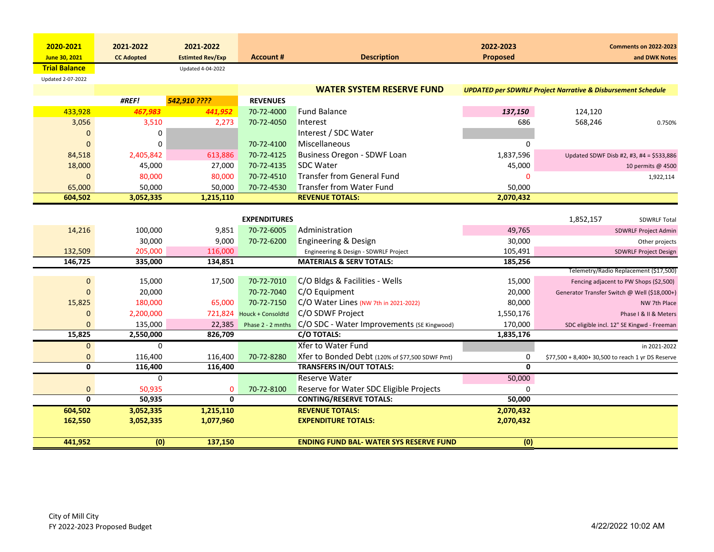| 2020-2021               | 2021-2022         | 2021-2022               |                           |                                                 | 2022-2023       | <b>Comments on 2022-2023</b>                                            |
|-------------------------|-------------------|-------------------------|---------------------------|-------------------------------------------------|-----------------|-------------------------------------------------------------------------|
| June 30, 2021           | <b>CC Adopted</b> | <b>Estimted Rev/Exp</b> | <b>Account #</b>          | <b>Description</b>                              | <b>Proposed</b> | and DWK Notes                                                           |
| <b>Trial Balance</b>    |                   | Updated 4-04-2022       |                           |                                                 |                 |                                                                         |
| Updated 2-07-2022       |                   |                         |                           |                                                 |                 |                                                                         |
|                         |                   |                         |                           | <b>WATER SYSTEM RESERVE FUND</b>                |                 | <b>UPDATED per SDWRLF Project Narrative &amp; Disbursement Schedule</b> |
|                         | #REF!             | 542,910 ????            | <b>REVENUES</b>           |                                                 |                 |                                                                         |
| 433,928                 | 467,983           | 441,952                 | 70-72-4000                | <b>Fund Balance</b>                             | 137,150         | 124,120                                                                 |
| 3,056                   | 3,510             | 2,273                   | 70-72-4050                | Interest                                        | 686             | 568,246<br>0.750%                                                       |
| 0                       | 0                 |                         |                           | Interest / SDC Water                            |                 |                                                                         |
| $\mathbf{0}$            | 0                 |                         | 70-72-4100                | Miscellaneous                                   | 0               |                                                                         |
| 84,518                  | 2,405,842         | 613,886                 | 70-72-4125                | Business Oregon - SDWF Loan                     | 1,837,596       | Updated SDWF Disb #2, #3, #4 = \$533,886                                |
| 18,000                  | 45,000            | 27,000                  | 70-72-4135                | <b>SDC Water</b>                                | 45,000          | 10 permits @ 4500                                                       |
| $\mathbf{0}$            | 80,000            | 80,000                  | 70-72-4510                | <b>Transfer from General Fund</b>               | $\mathbf 0$     | 1,922,114                                                               |
| 65,000                  | 50,000            | 50,000                  | 70-72-4530                | <b>Transfer from Water Fund</b>                 | 50,000          |                                                                         |
| 604,502                 | 3,052,335         | 1,215,110               |                           | <b>REVENUE TOTALS:</b>                          | 2,070,432       |                                                                         |
|                         |                   |                         |                           |                                                 |                 |                                                                         |
|                         |                   |                         | <b>EXPENDITURES</b>       |                                                 |                 | 1,852,157<br><b>SDWRLF Total</b>                                        |
| 14,216                  | 100,000           | 9,851                   | 70-72-6005                | Administration                                  | 49,765          | SDWRLF Project Admin                                                    |
|                         | 30,000            | 9,000                   | 70-72-6200                | <b>Engineering &amp; Design</b>                 | 30,000          | Other projects                                                          |
| 132,509                 | 205,000           | 116,000                 |                           | Engineering & Design - SDWRLF Project           | 105,491         | <b>SDWRLF Project Design</b>                                            |
| 146,725                 | 335,000           | 134,851                 |                           | <b>MATERIALS &amp; SERV TOTALS:</b>             | 185,256         |                                                                         |
|                         |                   |                         |                           |                                                 |                 | Telemetry/Radio Replacement (\$17,500)                                  |
| $\mathbf 0$             | 15,000            | 17,500                  | 70-72-7010                | C/O Bldgs & Facilities - Wells                  | 15,000          | Fencing adjacent to PW Shops (\$2,500)                                  |
| $\Omega$                | 20,000            |                         | 70-72-7040                | C/O Equipment                                   | 20,000          | Generator Transfer Switch @ Well (\$18,000+)                            |
| 15,825                  | 180,000           | 65,000                  | 70-72-7150                | C/O Water Lines (NW 7th in 2021-2022)           | 80,000          | NW 7th Place                                                            |
| $\Omega$                | 2,200,000         |                         | 721,824 Houck + Consoldtd | C/O SDWF Project                                | 1,550,176       | Phase I & II & Meters                                                   |
| $\Omega$                | 135,000           | 22,385                  | Phase 2 - 2 mnths         | C/O SDC - Water Improvements (SE Kingwood)      | 170,000         | SDC eligible incl. 12" SE Kingwd - Freeman                              |
| 15,825                  | 2,550,000         | 826,709                 |                           | <b>C/O TOTALS:</b>                              | 1,835,176       |                                                                         |
| $\mathbf{0}$            | 0                 |                         |                           | <b>Xfer to Water Fund</b>                       |                 | in 2021-2022                                                            |
| 0                       | 116,400           | 116,400                 | 70-72-8280                | Xfer to Bonded Debt (120% of \$77,500 SDWF Pmt) | 0               | \$77,500 + 8,400+ 30,500 to reach 1 yr DS Reserve                       |
| $\overline{\mathbf{0}}$ | 116,400           | 116,400                 |                           | <b>TRANSFERS IN/OUT TOTALS:</b>                 | $\Omega$        |                                                                         |
|                         | 0                 |                         |                           | <b>Reserve Water</b>                            | 50,000          |                                                                         |
| $\mathbf{0}$            | 50,935            | 0                       | 70-72-8100                | Reserve for Water SDC Eligible Projects         | 0               |                                                                         |
| $\mathbf{0}$            | 50,935            | $\mathbf{0}$            |                           | <b>CONTING/RESERVE TOTALS:</b>                  | 50,000          |                                                                         |
| 604,502                 | 3,052,335         | 1,215,110               |                           | <b>REVENUE TOTALS:</b>                          | 2,070,432       |                                                                         |
| 162,550                 | 3,052,335         | 1,077,960               |                           | <b>EXPENDITURE TOTALS:</b>                      | 2,070,432       |                                                                         |
| 441,952                 | (0)               | 137,150                 |                           | <b>ENDING FUND BAL-WATER SYS RESERVE FUND</b>   | (0)             |                                                                         |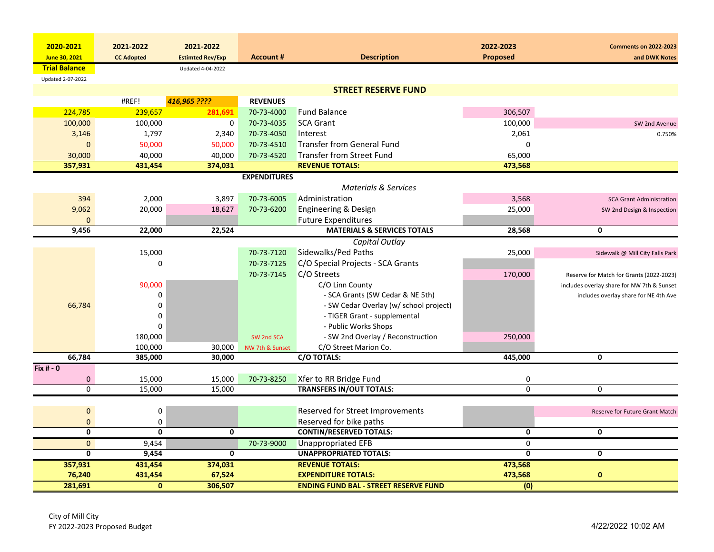| <b>Proposed</b><br><b>Account #</b><br><b>Description</b><br>June 30, 2021<br><b>CC Adopted</b><br><b>Estimted Rev/Exp</b><br><b>Trial Balance</b><br><b>Updated 4-04-2022</b><br>Updated 2-07-2022<br><b>STREET RESERVE FUND</b><br>416,965 ????<br>#REF!<br><b>REVENUES</b><br>224,785<br>239,657<br>281,691<br><b>Fund Balance</b><br>306,507<br>70-73-4000<br>100,000<br>0<br>70-73-4035<br><b>SCA Grant</b><br>100,000<br>100,000<br>70-73-4050<br>Interest<br>2,061<br>3,146<br>1,797<br>2,340<br><b>Transfer from General Fund</b><br>$\mathbf 0$<br>$\mathbf{0}$<br>50,000<br>50,000<br>70-73-4510<br><b>Transfer from Street Fund</b><br>30,000<br>40,000<br>40,000<br>70-73-4520<br>65,000<br>357,931<br>431,454<br>374,031<br><b>REVENUE TOTALS:</b><br>473,568 | 2020-2021 | 2021-2022 | 2021-2022 |                     | 2022-2023 | <b>Comments on 2022-2023</b>               |
|----------------------------------------------------------------------------------------------------------------------------------------------------------------------------------------------------------------------------------------------------------------------------------------------------------------------------------------------------------------------------------------------------------------------------------------------------------------------------------------------------------------------------------------------------------------------------------------------------------------------------------------------------------------------------------------------------------------------------------------------------------------------------|-----------|-----------|-----------|---------------------|-----------|--------------------------------------------|
|                                                                                                                                                                                                                                                                                                                                                                                                                                                                                                                                                                                                                                                                                                                                                                            |           |           |           |                     |           | and DWK Notes                              |
|                                                                                                                                                                                                                                                                                                                                                                                                                                                                                                                                                                                                                                                                                                                                                                            |           |           |           |                     |           |                                            |
|                                                                                                                                                                                                                                                                                                                                                                                                                                                                                                                                                                                                                                                                                                                                                                            |           |           |           |                     |           |                                            |
|                                                                                                                                                                                                                                                                                                                                                                                                                                                                                                                                                                                                                                                                                                                                                                            |           |           |           |                     |           |                                            |
|                                                                                                                                                                                                                                                                                                                                                                                                                                                                                                                                                                                                                                                                                                                                                                            |           |           |           |                     |           |                                            |
|                                                                                                                                                                                                                                                                                                                                                                                                                                                                                                                                                                                                                                                                                                                                                                            |           |           |           |                     |           |                                            |
|                                                                                                                                                                                                                                                                                                                                                                                                                                                                                                                                                                                                                                                                                                                                                                            |           |           |           |                     |           | SW 2nd Avenue                              |
|                                                                                                                                                                                                                                                                                                                                                                                                                                                                                                                                                                                                                                                                                                                                                                            |           |           |           |                     |           | 0.750%                                     |
|                                                                                                                                                                                                                                                                                                                                                                                                                                                                                                                                                                                                                                                                                                                                                                            |           |           |           |                     |           |                                            |
|                                                                                                                                                                                                                                                                                                                                                                                                                                                                                                                                                                                                                                                                                                                                                                            |           |           |           |                     |           |                                            |
|                                                                                                                                                                                                                                                                                                                                                                                                                                                                                                                                                                                                                                                                                                                                                                            |           |           |           |                     |           |                                            |
|                                                                                                                                                                                                                                                                                                                                                                                                                                                                                                                                                                                                                                                                                                                                                                            |           |           |           | <b>EXPENDITURES</b> |           |                                            |
| <b>Materials &amp; Services</b>                                                                                                                                                                                                                                                                                                                                                                                                                                                                                                                                                                                                                                                                                                                                            |           |           |           |                     |           |                                            |
| Administration<br>394<br>2,000<br>70-73-6005<br>3,568<br>3,897                                                                                                                                                                                                                                                                                                                                                                                                                                                                                                                                                                                                                                                                                                             |           |           |           |                     |           | <b>SCA Grant Administration</b>            |
| 9,062<br>20,000<br>70-73-6200<br><b>Engineering &amp; Design</b><br>25,000<br>18,627                                                                                                                                                                                                                                                                                                                                                                                                                                                                                                                                                                                                                                                                                       |           |           |           |                     |           | SW 2nd Design & Inspection                 |
| <b>Future Expenditures</b><br>$\Omega$                                                                                                                                                                                                                                                                                                                                                                                                                                                                                                                                                                                                                                                                                                                                     |           |           |           |                     |           |                                            |
| 22,000<br>22,524<br><b>MATERIALS &amp; SERVICES TOTALS</b><br>9,456<br>28,568<br>0                                                                                                                                                                                                                                                                                                                                                                                                                                                                                                                                                                                                                                                                                         |           |           |           |                     |           |                                            |
| Capital Outlay                                                                                                                                                                                                                                                                                                                                                                                                                                                                                                                                                                                                                                                                                                                                                             |           |           |           |                     |           |                                            |
| Sidewalks/Ped Paths<br>15,000<br>70-73-7120<br>25,000                                                                                                                                                                                                                                                                                                                                                                                                                                                                                                                                                                                                                                                                                                                      |           |           |           |                     |           | Sidewalk @ Mill City Falls Park            |
| 70-73-7125<br>C/O Special Projects - SCA Grants<br>0                                                                                                                                                                                                                                                                                                                                                                                                                                                                                                                                                                                                                                                                                                                       |           |           |           |                     |           |                                            |
| C/O Streets<br>70-73-7145<br>170,000                                                                                                                                                                                                                                                                                                                                                                                                                                                                                                                                                                                                                                                                                                                                       |           |           |           |                     |           | Reserve for Match for Grants (2022-2023)   |
| C/O Linn County<br>90,000                                                                                                                                                                                                                                                                                                                                                                                                                                                                                                                                                                                                                                                                                                                                                  |           |           |           |                     |           | includes overlay share for NW 7th & Sunset |
| 0<br>- SCA Grants (SW Cedar & NE 5th)                                                                                                                                                                                                                                                                                                                                                                                                                                                                                                                                                                                                                                                                                                                                      |           |           |           |                     |           | includes overlay share for NE 4th Ave      |
| 66,784<br>$\Omega$<br>- SW Cedar Overlay (w/ school project)                                                                                                                                                                                                                                                                                                                                                                                                                                                                                                                                                                                                                                                                                                               |           |           |           |                     |           |                                            |
| - TIGER Grant - supplemental<br>0                                                                                                                                                                                                                                                                                                                                                                                                                                                                                                                                                                                                                                                                                                                                          |           |           |           |                     |           |                                            |
| 0<br>- Public Works Shops                                                                                                                                                                                                                                                                                                                                                                                                                                                                                                                                                                                                                                                                                                                                                  |           |           |           |                     |           |                                            |
| 180,000<br>- SW 2nd Overlay / Reconstruction<br>250,000<br>SW 2nd SCA                                                                                                                                                                                                                                                                                                                                                                                                                                                                                                                                                                                                                                                                                                      |           |           |           |                     |           |                                            |
| 100,000<br>30,000<br>C/O Street Marion Co.<br>NW 7th & Sunset                                                                                                                                                                                                                                                                                                                                                                                                                                                                                                                                                                                                                                                                                                              |           |           |           |                     |           |                                            |
| 66,784<br>C/O TOTALS:<br>$\mathbf{0}$<br>385,000<br>30,000<br>445,000                                                                                                                                                                                                                                                                                                                                                                                                                                                                                                                                                                                                                                                                                                      |           |           |           |                     |           |                                            |
| Fix $# - 0$                                                                                                                                                                                                                                                                                                                                                                                                                                                                                                                                                                                                                                                                                                                                                                |           |           |           |                     |           |                                            |
| $\mathbf 0$<br>15,000<br>15,000<br>70-73-8250<br>Xfer to RR Bridge Fund<br>0<br><b>TRANSFERS IN/OUT TOTALS:</b><br>$\overline{0}$<br>$\mathbf 0$<br>0                                                                                                                                                                                                                                                                                                                                                                                                                                                                                                                                                                                                                      |           |           |           |                     |           |                                            |
| 15,000<br>15,000                                                                                                                                                                                                                                                                                                                                                                                                                                                                                                                                                                                                                                                                                                                                                           |           |           |           |                     |           |                                            |
|                                                                                                                                                                                                                                                                                                                                                                                                                                                                                                                                                                                                                                                                                                                                                                            |           |           |           |                     |           |                                            |
| Reserved for Street Improvements<br>0<br>0<br>Reserved for bike paths                                                                                                                                                                                                                                                                                                                                                                                                                                                                                                                                                                                                                                                                                                      |           |           |           |                     |           | Reserve for Future Grant Match             |
| 0<br>$\overline{0}$<br>0<br><b>CONTIN/RESERVED TOTALS:</b><br>$\mathbf{0}$<br>$\mathbf 0$<br>0<br>$\mathbf{0}$                                                                                                                                                                                                                                                                                                                                                                                                                                                                                                                                                                                                                                                             |           |           |           |                     |           |                                            |
| $\mathbf{0}$<br>9,454<br>70-73-9000<br><b>Unappropriated EFB</b><br>$\mathbf 0$                                                                                                                                                                                                                                                                                                                                                                                                                                                                                                                                                                                                                                                                                            |           |           |           |                     |           |                                            |
| 0<br>$\mathbf 0$<br><b>UNAPPROPRIATED TOTALS:</b><br>0<br>9,454<br>0                                                                                                                                                                                                                                                                                                                                                                                                                                                                                                                                                                                                                                                                                                       |           |           |           |                     |           |                                            |
| 357,931<br><b>REVENUE TOTALS:</b><br>473,568<br>431,454<br>374,031                                                                                                                                                                                                                                                                                                                                                                                                                                                                                                                                                                                                                                                                                                         |           |           |           |                     |           |                                            |
| 76,240<br>67,524<br><b>EXPENDITURE TOTALS:</b><br>473,568<br>$\mathbf 0$<br>431,454                                                                                                                                                                                                                                                                                                                                                                                                                                                                                                                                                                                                                                                                                        |           |           |           |                     |           |                                            |
| $\mathbf{0}$<br>(0)<br>281,691<br>306,507<br><b>ENDING FUND BAL - STREET RESERVE FUND</b>                                                                                                                                                                                                                                                                                                                                                                                                                                                                                                                                                                                                                                                                                  |           |           |           |                     |           |                                            |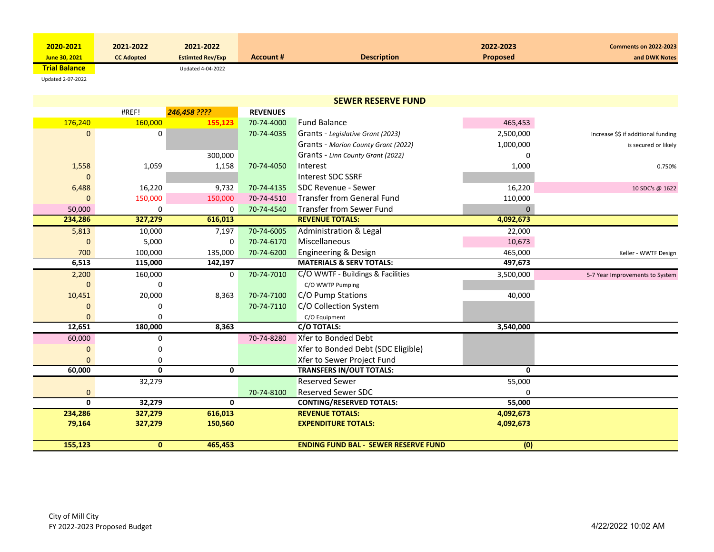| 2020-2021            | 2021-2022         | 2021-2022               |                  |                    | 2022-2023       | <b>Comments on 2022-2023</b> |
|----------------------|-------------------|-------------------------|------------------|--------------------|-----------------|------------------------------|
| June 30, 2021        | <b>CC Adopted</b> | <b>Estimted Rev/Exp</b> | <b>Account #</b> | <b>Description</b> | <b>Proposed</b> | and DWK Notes                |
| <b>Trial Balance</b> |                   | Updated 4-04-2022       |                  |                    |                 |                              |

Updated 2‐07‐2022

| <b>SEWER RESERVE FUND</b> |              |              |                 |                                             |              |                                     |  |
|---------------------------|--------------|--------------|-----------------|---------------------------------------------|--------------|-------------------------------------|--|
|                           | #REF!        | 246,458 ???? | <b>REVENUES</b> |                                             |              |                                     |  |
| 176,240                   | 160,000      | 155,123      | 70-74-4000      | <b>Fund Balance</b>                         | 465,453      |                                     |  |
| 0                         | 0            |              | 70-74-4035      | Grants - Legislative Grant (2023)           | 2,500,000    | Increase \$\$ if additional funding |  |
|                           |              |              |                 | Grants - Marion County Grant (2022)         | 1,000,000    | is secured or likely                |  |
|                           |              | 300,000      |                 | Grants - Linn County Grant (2022)           | n            |                                     |  |
| 1,558                     | 1,059        | 1,158        | 70-74-4050      | Interest                                    | 1,000        | 0.750%                              |  |
| $\Omega$                  |              |              |                 | Interest SDC SSRF                           |              |                                     |  |
| 6,488                     | 16,220       | 9,732        | 70-74-4135      | <b>SDC Revenue - Sewer</b>                  | 16,220       | 10 SDC's @ 1622                     |  |
| $\Omega$                  | 150,000      | 150,000      | 70-74-4510      | <b>Transfer from General Fund</b>           | 110,000      |                                     |  |
| 50,000                    | 0            | $\Omega$     | 70-74-4540      | <b>Transfer from Sewer Fund</b>             | $\Omega$     |                                     |  |
| 234,286                   | 327,279      | 616,013      |                 | <b>REVENUE TOTALS:</b>                      | 4,092,673    |                                     |  |
| 5,813                     | 10,000       | 7,197        | 70-74-6005      | Administration & Legal                      | 22,000       |                                     |  |
| $\Omega$                  | 5,000        | 0            | 70-74-6170      | Miscellaneous                               | 10,673       |                                     |  |
| 700                       | 100,000      | 135,000      | 70-74-6200      | <b>Engineering &amp; Design</b>             | 465,000      | Keller - WWTF Design                |  |
| 6,513                     | 115,000      | 142,197      |                 | <b>MATERIALS &amp; SERV TOTALS:</b>         | 497,673      |                                     |  |
| 2,200                     | 160,000      | 0            | 70-74-7010      | C/O WWTF - Buildings & Facilities           | 3,500,000    | 5-7 Year Improvements to System     |  |
| $\Omega$                  | 0            |              |                 | C/O WWTP Pumping                            |              |                                     |  |
| 10,451                    | 20,000       | 8,363        | 70-74-7100      | C/O Pump Stations                           | 40,000       |                                     |  |
| $\Omega$                  | O            |              | 70-74-7110      | C/O Collection System                       |              |                                     |  |
| $\Omega$                  | 0            |              |                 | C/O Equipment                               |              |                                     |  |
| 12,651                    | 180,000      | 8,363        |                 | C/O TOTALS:                                 | 3,540,000    |                                     |  |
| 60,000                    | 0            |              | 70-74-8280      | <b>Xfer to Bonded Debt</b>                  |              |                                     |  |
| $\Omega$                  | 0            |              |                 | Xfer to Bonded Debt (SDC Eligible)          |              |                                     |  |
| $\Omega$                  | 0            |              |                 | Xfer to Sewer Project Fund                  |              |                                     |  |
| 60,000                    | $\mathbf{0}$ | $\mathbf{0}$ |                 | <b>TRANSFERS IN/OUT TOTALS:</b>             | $\mathbf{0}$ |                                     |  |
|                           | 32,279       |              |                 | <b>Reserved Sewer</b>                       | 55,000       |                                     |  |
| $\mathbf 0$               |              |              | 70-74-8100      | <b>Reserved Sewer SDC</b>                   | $\Omega$     |                                     |  |
| $\mathbf{0}$              | 32,279       | $\mathbf{0}$ |                 | <b>CONTING/RESERVED TOTALS:</b>             | 55,000       |                                     |  |
| 234,286                   | 327,279      | 616,013      |                 | <b>REVENUE TOTALS:</b>                      | 4,092,673    |                                     |  |
| 79,164                    | 327,279      | 150,560      |                 | <b>EXPENDITURE TOTALS:</b>                  | 4,092,673    |                                     |  |
|                           |              |              |                 |                                             |              |                                     |  |
| 155,123                   | $\mathbf{0}$ | 465,453      |                 | <b>ENDING FUND BAL - SEWER RESERVE FUND</b> | (0)          |                                     |  |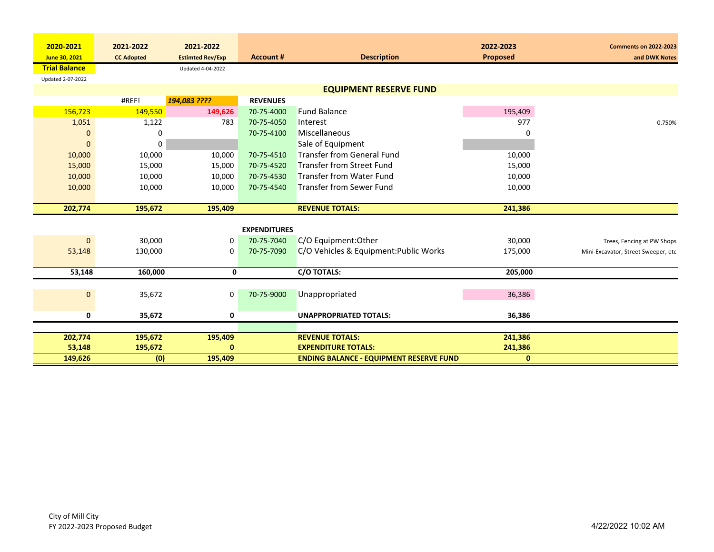| 2020-2021            | 2021-2022         | 2021-2022               |                     |                                                | 2022-2023       | <b>Comments on 2022-2023</b>        |
|----------------------|-------------------|-------------------------|---------------------|------------------------------------------------|-----------------|-------------------------------------|
| June 30, 2021        | <b>CC Adopted</b> | <b>Estimted Rev/Exp</b> | <b>Account #</b>    | <b>Description</b>                             | <b>Proposed</b> | and DWK Notes                       |
| <b>Trial Balance</b> |                   | Updated 4-04-2022       |                     |                                                |                 |                                     |
| Updated 2-07-2022    |                   |                         |                     |                                                |                 |                                     |
|                      |                   |                         |                     | <b>EQUIPMENT RESERVE FUND</b>                  |                 |                                     |
|                      | #REF!             | 194,083 ????            | <b>REVENUES</b>     |                                                |                 |                                     |
| 156,723              | 149,550           | 149,626                 | 70-75-4000          | <b>Fund Balance</b>                            | 195,409         |                                     |
| 1,051                | 1,122             | 783                     | 70-75-4050          | Interest                                       | 977             | 0.750%                              |
| $\mathbf 0$          | 0                 |                         | 70-75-4100          | Miscellaneous                                  |                 |                                     |
| $\Omega$             | 0                 |                         |                     | Sale of Equipment                              |                 |                                     |
| 10,000               | 10,000            | 10,000                  | 70-75-4510          | <b>Transfer from General Fund</b>              | 10,000          |                                     |
| 15,000               | 15,000            | 15,000                  | 70-75-4520          | <b>Transfer from Street Fund</b>               | 15,000          |                                     |
| 10,000               | 10,000            | 10,000                  | 70-75-4530          | <b>Transfer from Water Fund</b>                | 10,000          |                                     |
| 10,000               | 10,000            | 10,000                  | 70-75-4540          | <b>Transfer from Sewer Fund</b>                | 10,000          |                                     |
|                      |                   |                         |                     |                                                |                 |                                     |
| 202,774              | 195,672           | 195,409                 |                     | <b>REVENUE TOTALS:</b>                         | 241,386         |                                     |
|                      |                   |                         |                     |                                                |                 |                                     |
|                      |                   |                         | <b>EXPENDITURES</b> |                                                |                 |                                     |
| $\mathbf{0}$         | 30,000            | 0                       | 70-75-7040          | C/O Equipment: Other                           | 30,000          | Trees, Fencing at PW Shops          |
| 53,148               | 130,000           | 0                       | 70-75-7090          | C/O Vehicles & Equipment: Public Works         | 175,000         | Mini-Excavator, Street Sweeper, etc |
|                      |                   |                         |                     |                                                |                 |                                     |
| 53,148               | 160,000           | 0                       |                     | C/O TOTALS:                                    | 205,000         |                                     |
|                      |                   |                         |                     |                                                |                 |                                     |
| $\mathbf{0}$         | 35,672            | 0                       | 70-75-9000          | Unappropriated                                 | 36,386          |                                     |
|                      |                   |                         |                     |                                                |                 |                                     |
| 0                    | 35,672            | 0                       |                     | <b>UNAPPROPRIATED TOTALS:</b>                  | 36,386          |                                     |
|                      |                   |                         |                     |                                                |                 |                                     |
| 202,774              | 195,672           | 195,409                 |                     | <b>REVENUE TOTALS:</b>                         | 241,386         |                                     |
| 53,148               | 195,672           | $\bf{0}$                |                     | <b>EXPENDITURE TOTALS:</b>                     | 241,386         |                                     |
| 149,626              | (0)               | 195,409                 |                     | <b>ENDING BALANCE - EQUIPMENT RESERVE FUND</b> | $\mathbf{0}$    |                                     |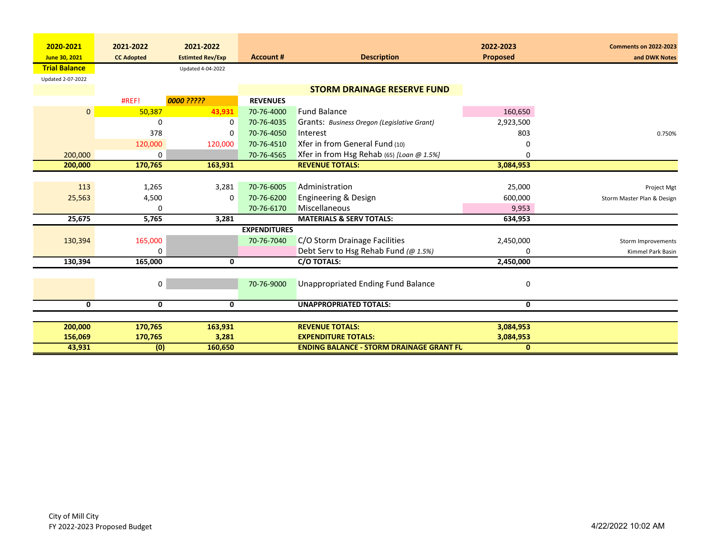| 2020-2021            | 2021-2022         | 2021-2022               |                     |                                                 | 2022-2023       | <b>Comments on 2022-2023</b> |
|----------------------|-------------------|-------------------------|---------------------|-------------------------------------------------|-----------------|------------------------------|
| June 30, 2021        | <b>CC Adopted</b> | <b>Estimted Rev/Exp</b> | <b>Account #</b>    | <b>Description</b>                              | <b>Proposed</b> | and DWK Notes                |
| <b>Trial Balance</b> |                   |                         |                     |                                                 |                 |                              |
|                      |                   | Updated 4-04-2022       |                     |                                                 |                 |                              |
| Updated 2-07-2022    |                   |                         |                     |                                                 |                 |                              |
|                      |                   |                         |                     | <b>STORM DRAINAGE RESERVE FUND</b>              |                 |                              |
|                      | #REF!             | 0000 ?????              | <b>REVENUES</b>     |                                                 |                 |                              |
| $\mathbf{0}$         | 50,387            | 43,931                  | 70-76-4000          | <b>Fund Balance</b>                             | 160,650         |                              |
|                      | $\Omega$          | 0                       | 70-76-4035          | Grants: Business Oregon (Legislative Grant)     | 2,923,500       |                              |
|                      | 378               | 0                       | 70-76-4050          | Interest                                        | 803             | 0.750%                       |
|                      | 120,000           | 120,000                 | 70-76-4510          | Xfer in from General Fund (10)                  | 0               |                              |
| 200,000              | 0                 |                         | 70-76-4565          | Xfer in from Hsg Rehab (65) [Loan @ 1.5%]       | 0               |                              |
| 200,000              | 170,765           | 163,931                 |                     | <b>REVENUE TOTALS:</b>                          | 3,084,953       |                              |
|                      |                   |                         |                     |                                                 |                 |                              |
| 113                  | 1,265             | 3,281                   | 70-76-6005          | Administration                                  | 25,000          | Project Mgt                  |
| 25,563               | 4,500             | 0                       | 70-76-6200          | Engineering & Design                            | 600,000         | Storm Master Plan & Design   |
|                      | 0                 |                         | 70-76-6170          | Miscellaneous                                   | 9,953           |                              |
| 25,675               | 5,765             | 3,281                   |                     | <b>MATERIALS &amp; SERV TOTALS:</b>             | 634,953         |                              |
|                      |                   |                         | <b>EXPENDITURES</b> |                                                 |                 |                              |
| 130,394              | 165,000           |                         | 70-76-7040          | C/O Storm Drainage Facilities                   | 2,450,000       | Storm Improvements           |
|                      | 0                 |                         |                     | Debt Serv to Hsg Rehab Fund (@ 1.5%)            | 0               | Kimmel Park Basin            |
| 130,394              | 165,000           | 0                       |                     | <b>C/O TOTALS:</b>                              | 2,450,000       |                              |
|                      |                   |                         |                     |                                                 |                 |                              |
|                      | 0                 |                         | 70-76-9000          | Unappropriated Ending Fund Balance              | 0               |                              |
|                      |                   |                         |                     |                                                 |                 |                              |
| 0                    | 0                 | 0                       |                     | <b>UNAPPROPRIATED TOTALS:</b>                   | 0               |                              |
|                      |                   |                         |                     |                                                 |                 |                              |
| 200,000              | 170,765           | 163,931                 |                     | <b>REVENUE TOTALS:</b>                          | 3,084,953       |                              |
| 156,069              | 170,765           | 3,281                   |                     | <b>EXPENDITURE TOTALS:</b>                      | 3,084,953       |                              |
| 43,931               | (0)               | 160,650                 |                     | <b>ENDING BALANCE - STORM DRAINAGE GRANT FU</b> | $\mathbf{0}$    |                              |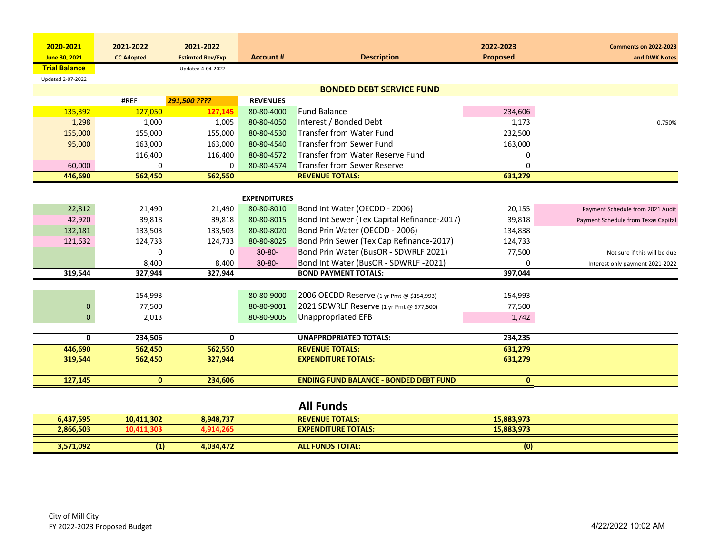| 2020-2021            | 2021-2022             | 2021-2022               |                     |                                                      | 2022-2023    | <b>Comments on 2022-2023</b>        |
|----------------------|-----------------------|-------------------------|---------------------|------------------------------------------------------|--------------|-------------------------------------|
| June 30, 2021        | <b>CC Adopted</b>     | <b>Estimted Rev/Exp</b> | <b>Account #</b>    | <b>Description</b>                                   | Proposed     | and DWK Notes                       |
| <b>Trial Balance</b> |                       | Updated 4-04-2022       |                     |                                                      |              |                                     |
| Updated 2-07-2022    |                       |                         |                     |                                                      |              |                                     |
|                      |                       |                         |                     | <b>BONDED DEBT SERVICE FUND</b>                      |              |                                     |
|                      | #REF!                 | 291,500 ????            | <b>REVENUES</b>     |                                                      |              |                                     |
| 135,392              | 127,050               | 127,145                 | 80-80-4000          | <b>Fund Balance</b>                                  | 234,606      |                                     |
| 1,298                | 1,000                 | 1,005                   | 80-80-4050          | Interest / Bonded Debt                               | 1,173        | 0.750%                              |
| 155,000              | 155,000               | 155,000                 | 80-80-4530          | <b>Transfer from Water Fund</b>                      | 232,500      |                                     |
| 95,000               | 163,000               | 163,000                 | 80-80-4540          | <b>Transfer from Sewer Fund</b>                      | 163,000      |                                     |
|                      | 116,400               | 116,400                 | 80-80-4572          | <b>Transfer from Water Reserve Fund</b>              | 0            |                                     |
| 60,000               | 0                     | $\Omega$                | 80-80-4574          | <b>Transfer from Sewer Reserve</b>                   | 0            |                                     |
| 446,690              | 562,450               | 562,550                 |                     | <b>REVENUE TOTALS:</b>                               | 631,279      |                                     |
|                      |                       |                         |                     |                                                      |              |                                     |
|                      |                       |                         | <b>EXPENDITURES</b> |                                                      |              |                                     |
| 22,812               | 21,490                | 21,490                  | 80-80-8010          | Bond Int Water (OECDD - 2006)                        | 20,155       | Payment Schedule from 2021 Audit    |
| 42,920               | 39,818                | 39,818                  | 80-80-8015          | Bond Int Sewer (Tex Capital Refinance-2017)          | 39,818       | Payment Schedule from Texas Capital |
| 132,181              | 133,503               | 133,503                 | 80-80-8020          | Bond Prin Water (OECDD - 2006)                       | 134,838      |                                     |
| 121,632              | 124,733               | 124,733                 | 80-80-8025          | Bond Prin Sewer (Tex Cap Refinance-2017)             | 124,733      |                                     |
|                      | 0                     | 0                       | 80-80-              | Bond Prin Water (BusOR - SDWRLF 2021)                | 77,500       | Not sure if this will be due        |
|                      | 8,400                 | 8,400                   | $80 - 80 -$         | Bond Int Water (BusOR - SDWRLF -2021)                | $\mathbf 0$  | Interest only payment 2021-2022     |
| 319,544              | 327,944               | 327,944                 |                     | <b>BOND PAYMENT TOTALS:</b>                          | 397,044      |                                     |
|                      |                       |                         |                     |                                                      |              |                                     |
|                      | 154,993               |                         | 80-80-9000          | 2006 OECDD Reserve (1 yr Pmt @ \$154,993)            | 154,993      |                                     |
|                      | $\mathbf 0$<br>77,500 |                         | 80-80-9001          | 2021 SDWRLF Reserve (1 yr Pmt @ \$77,500)            | 77,500       |                                     |
|                      | 2,013<br>$\mathbf 0$  |                         | 80-80-9005          | <b>Unappropriated EFB</b>                            | 1,742        |                                     |
|                      | $\mathbf 0$           | $\mathbf{0}$            |                     |                                                      |              |                                     |
|                      | 234,506               |                         |                     | <b>UNAPPROPRIATED TOTALS:</b>                        | 234,235      |                                     |
| 446,690              | 562,450               | 562,550                 |                     | <b>REVENUE TOTALS:</b><br><b>EXPENDITURE TOTALS:</b> | 631,279      |                                     |
| 319,544              | 562,450               | 327,944                 |                     |                                                      | 631,279      |                                     |
| 127,145              | $\mathbf{0}$          | 234,606                 |                     | <b>ENDING FUND BALANCE - BONDED DEBT FUND</b>        | $\mathbf{0}$ |                                     |
|                      |                       |                         |                     |                                                      |              |                                     |
|                      |                       |                         |                     | <b>All Funds</b>                                     |              |                                     |
| 6,437,595            | 10,411,302            | 8,948,737               |                     | <b>REVENUE TOTALS:</b>                               | 15,883,973   |                                     |
| 2,866,503            | 10,411,303            | 4,914,265               |                     | <b>EXPENDITURE TOTALS:</b>                           | 15,883,973   |                                     |
| 3,571,092            | (1)                   | 4,034,472               |                     | <b>ALL FUNDS TOTAL:</b>                              | (0)          |                                     |